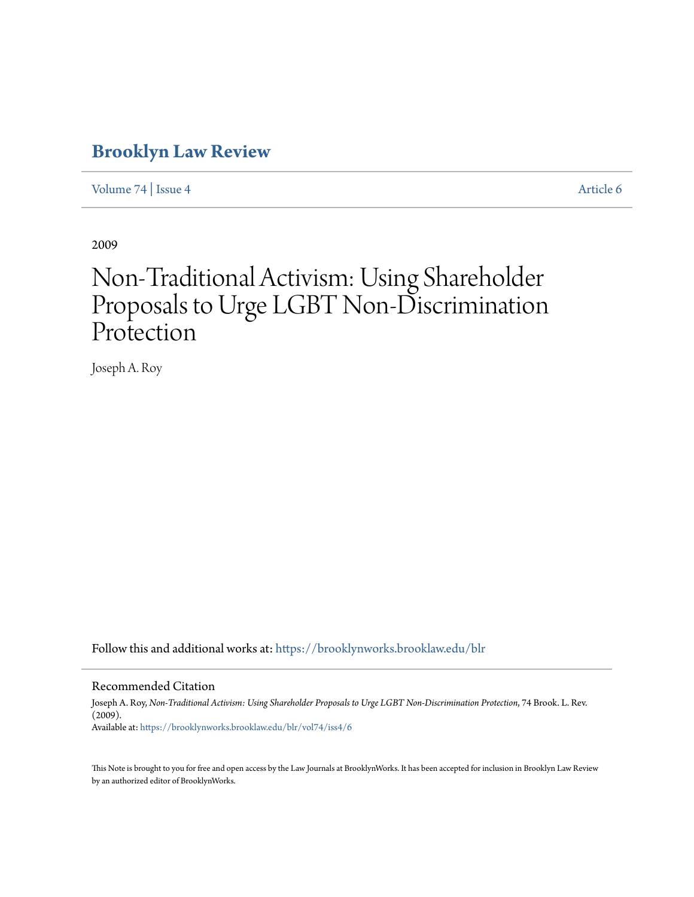# **[Brooklyn Law Review](https://brooklynworks.brooklaw.edu/blr?utm_source=brooklynworks.brooklaw.edu%2Fblr%2Fvol74%2Fiss4%2F6&utm_medium=PDF&utm_campaign=PDFCoverPages)**

[Volume 74](https://brooklynworks.brooklaw.edu/blr/vol74?utm_source=brooklynworks.brooklaw.edu%2Fblr%2Fvol74%2Fiss4%2F6&utm_medium=PDF&utm_campaign=PDFCoverPages) | [Issue 4](https://brooklynworks.brooklaw.edu/blr/vol74/iss4?utm_source=brooklynworks.brooklaw.edu%2Fblr%2Fvol74%2Fiss4%2F6&utm_medium=PDF&utm_campaign=PDFCoverPages) [Article 6](https://brooklynworks.brooklaw.edu/blr/vol74/iss4/6?utm_source=brooklynworks.brooklaw.edu%2Fblr%2Fvol74%2Fiss4%2F6&utm_medium=PDF&utm_campaign=PDFCoverPages)

2009

# Non-Traditional Activism: Using Shareholder Proposals to Urge LGBT Non-Discrimination Protection

Joseph A. Roy

Follow this and additional works at: [https://brooklynworks.brooklaw.edu/blr](https://brooklynworks.brooklaw.edu/blr?utm_source=brooklynworks.brooklaw.edu%2Fblr%2Fvol74%2Fiss4%2F6&utm_medium=PDF&utm_campaign=PDFCoverPages)

#### Recommended Citation

Joseph A. Roy, *Non-Traditional Activism: Using Shareholder Proposals to Urge LGBT Non-Discrimination Protection*, 74 Brook. L. Rev. (2009). Available at: [https://brooklynworks.brooklaw.edu/blr/vol74/iss4/6](https://brooklynworks.brooklaw.edu/blr/vol74/iss4/6?utm_source=brooklynworks.brooklaw.edu%2Fblr%2Fvol74%2Fiss4%2F6&utm_medium=PDF&utm_campaign=PDFCoverPages)

This Note is brought to you for free and open access by the Law Journals at BrooklynWorks. It has been accepted for inclusion in Brooklyn Law Review by an authorized editor of BrooklynWorks.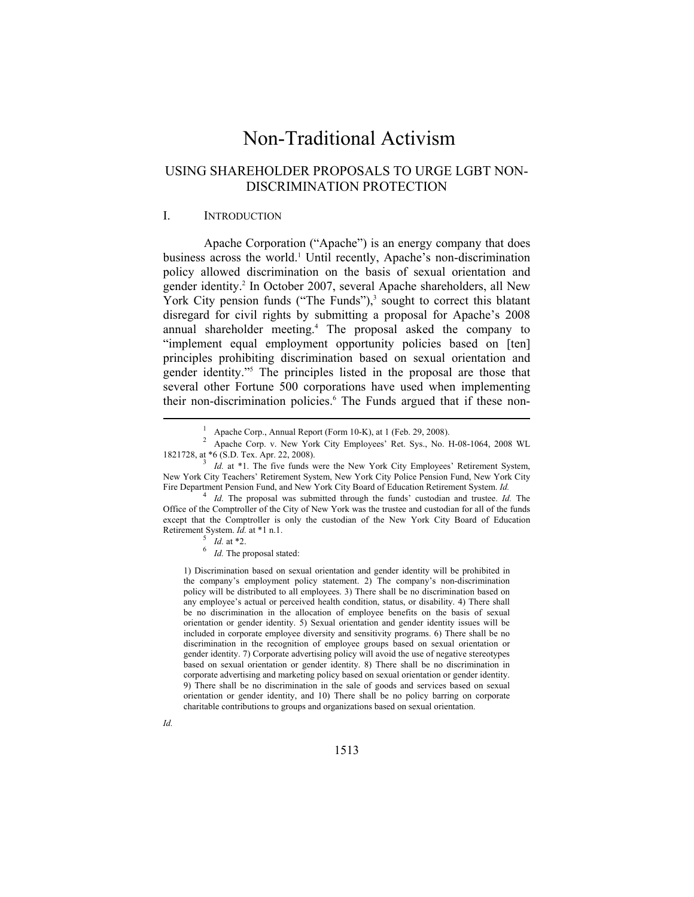## Non-Traditional Activism

### USING SHAREHOLDER PROPOSALS TO URGE LGBT NON-DISCRIMINATION PROTECTION

#### I. INTRODUCTION

Apache Corporation ("Apache") is an energy company that does business across the world.<sup>1</sup> Until recently, Apache's non-discrimination policy allowed discrimination on the basis of sexual orientation and gender identity.<sup>2</sup> In October 2007, several Apache shareholders, all New York City pension funds ("The Funds"),<sup>3</sup> sought to correct this blatant disregard for civil rights by submitting a proposal for Apache's 2008 annual shareholder meeting.4 The proposal asked the company to "implement equal employment opportunity policies based on [ten] principles prohibiting discrimination based on sexual orientation and gender identity."5 The principles listed in the proposal are those that several other Fortune 500 corporations have used when implementing their non-discrimination policies.<sup>6</sup> The Funds argued that if these non-

<sup>1</sup> Apache Corp., Annual Report (Form 10-K), at 1 (Feb. 29, 2008).

<sup>2</sup> Apache Corp. v. New York City Employees' Ret. Sys., No. H-08-1064, 2008 WL 1821728, at \*6 (S.D. Tex. Apr. 22, 2008). 3 *Id.* at \*1. The five funds were the New York City Employees' Retirement System,

New York City Teachers' Retirement System, New York City Police Pension Fund, New York City Fire Department Pension Fund, and New York City Board of Education Retirement System. *Id.* 

*Id.* The proposal was submitted through the funds' custodian and trustee. *Id.* The Office of the Comptroller of the City of New York was the trustee and custodian for all of the funds except that the Comptroller is only the custodian of the New York City Board of Education Retirement System. *Id.* at \*1 n.1.<br> $\frac{5}{I}$  *Id.* at \*2.

 $\int$ <sup>6</sup> *Id.* The proposal stated:

<sup>1)</sup> Discrimination based on sexual orientation and gender identity will be prohibited in the company's employment policy statement. 2) The company's non-discrimination policy will be distributed to all employees. 3) There shall be no discrimination based on any employee's actual or perceived health condition, status, or disability. 4) There shall be no discrimination in the allocation of employee benefits on the basis of sexual orientation or gender identity. 5) Sexual orientation and gender identity issues will be included in corporate employee diversity and sensitivity programs. 6) There shall be no discrimination in the recognition of employee groups based on sexual orientation or gender identity. 7) Corporate advertising policy will avoid the use of negative stereotypes based on sexual orientation or gender identity. 8) There shall be no discrimination in corporate advertising and marketing policy based on sexual orientation or gender identity. 9) There shall be no discrimination in the sale of goods and services based on sexual orientation or gender identity, and 10) There shall be no policy barring on corporate charitable contributions to groups and organizations based on sexual orientation.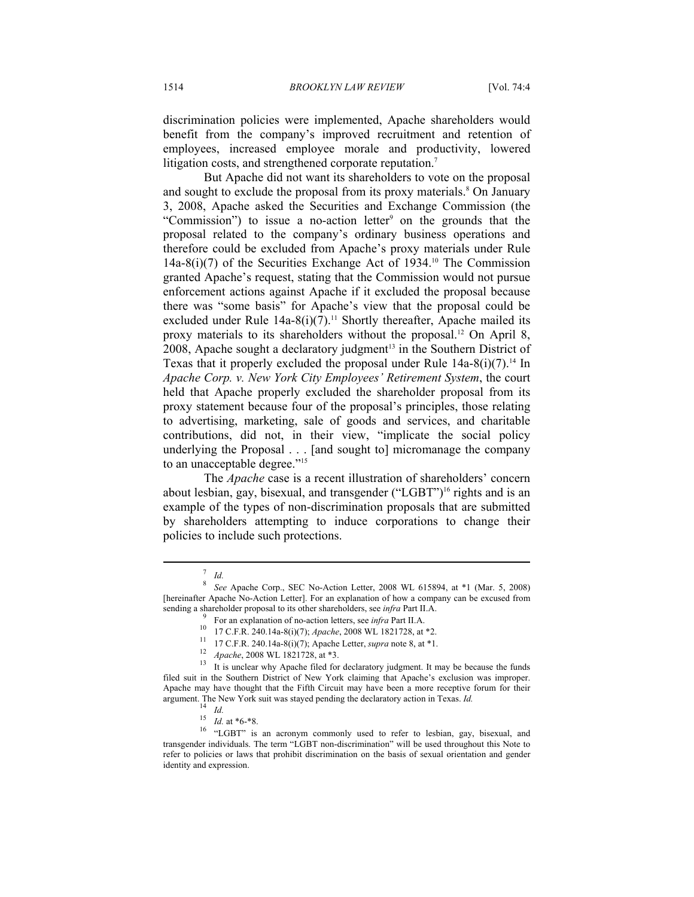discrimination policies were implemented, Apache shareholders would benefit from the company's improved recruitment and retention of employees, increased employee morale and productivity, lowered litigation costs, and strengthened corporate reputation.<sup>7</sup>

But Apache did not want its shareholders to vote on the proposal and sought to exclude the proposal from its proxy materials.<sup>8</sup> On January 3, 2008, Apache asked the Securities and Exchange Commission (the "Commission") to issue a no-action letter<sup>9</sup> on the grounds that the proposal related to the company's ordinary business operations and therefore could be excluded from Apache's proxy materials under Rule  $14a-8(i)(7)$  of the Securities Exchange Act of 1934.<sup>10</sup> The Commission granted Apache's request, stating that the Commission would not pursue enforcement actions against Apache if it excluded the proposal because there was "some basis" for Apache's view that the proposal could be excluded under Rule  $14a-8(i)(7)$ .<sup>11</sup> Shortly thereafter, Apache mailed its proxy materials to its shareholders without the proposal.12 On April 8,  $2008$ , Apache sought a declaratory judgment<sup>13</sup> in the Southern District of Texas that it properly excluded the proposal under Rule  $14a-8(i)(7)$ .<sup>14</sup> In *Apache Corp. v. New York City Employees' Retirement System*, the court held that Apache properly excluded the shareholder proposal from its proxy statement because four of the proposal's principles, those relating to advertising, marketing, sale of goods and services, and charitable contributions, did not, in their view, "implicate the social policy underlying the Proposal . . . [and sought to] micromanage the company to an unacceptable degree."<sup>15</sup>

The *Apache* case is a recent illustration of shareholders' concern about lesbian, gay, bisexual, and transgender ("LGBT")<sup>16</sup> rights and is an example of the types of non-discrimination proposals that are submitted by shareholders attempting to induce corporations to change their policies to include such protections.

<sup>7</sup>

<sup>&</sup>lt;sup>*Id.* 8</sup> See Apache Corp., SEC No-Action Letter, 2008 WL 615894, at \*1 (Mar. 5, 2008) [hereinafter Apache No-Action Letter]. For an explanation of how a company can be excused from sending a shareholder proposal to its other shareholders, see *infra* Part II.A.<br><sup>9</sup> For an explanation of no-action letters, see *infra* Part II.A.

<sup>&</sup>lt;sup>10</sup> 17 C.F.R. 240.14a-8(i)(7); *Apache*, 2008 WL 1821728, at \*2.<br><sup>11</sup> 17 C.F.R. 240.14a-8(i)(7); Apache Letter, *supra* note 8, at \*1.<br><sup>12</sup> *Apache*, 2008 WL 1821728, at \*3.<br><sup>13</sup> It is unclear why Apache filed for declar filed suit in the Southern District of New York claiming that Apache's exclusion was improper. Apache may have thought that the Fifth Circuit may have been a more receptive forum for their argument. The New York suit was stayed pending the declaratory action in Texas. *Id.* 14<br>15 *Id.* at \*6-\*8.

<sup>&</sup>lt;sup>16</sup> "LGBT" is an acronym commonly used to refer to lesbian, gay, bisexual, and transgender individuals. The term "LGBT non-discrimination" will be used throughout this Note to refer to policies or laws that prohibit discrimination on the basis of sexual orientation and gender identity and expression.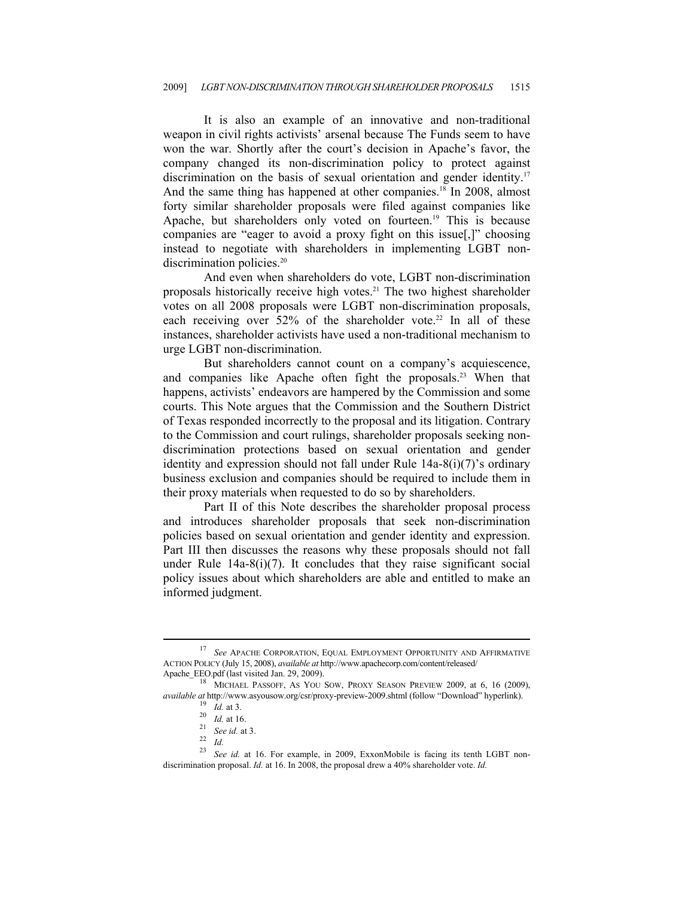It is also an example of an innovative and non-traditional weapon in civil rights activists' arsenal because The Funds seem to have won the war. Shortly after the court's decision in Apache's favor, the company changed its non-discrimination policy to protect against discrimination on the basis of sexual orientation and gender identity.<sup>17</sup> And the same thing has happened at other companies.<sup>18</sup> In 2008, almost forty similar shareholder proposals were filed against companies like Apache, but shareholders only voted on fourteen.<sup>19</sup> This is because companies are "eager to avoid a proxy fight on this issue[,]" choosing instead to negotiate with shareholders in implementing LGBT nondiscrimination policies.<sup>20</sup>

And even when shareholders do vote, LGBT non-discrimination proposals historically receive high votes.<sup>21</sup> The two highest shareholder votes on all 2008 proposals were LGBT non-discrimination proposals, each receiving over  $52\%$  of the shareholder vote.<sup>22</sup> In all of these instances, shareholder activists have used a non-traditional mechanism to urge LGBT non-discrimination.

But shareholders cannot count on a company's acquiescence, and companies like Apache often fight the proposals.<sup>23</sup> When that happens, activists' endeavors are hampered by the Commission and some courts. This Note argues that the Commission and the Southern District of Texas responded incorrectly to the proposal and its litigation. Contrary to the Commission and court rulings, shareholder proposals seeking nondiscrimination protections based on sexual orientation and gender identity and expression should not fall under Rule 14a-8(i)(7)'s ordinary business exclusion and companies should be required to include them in their proxy materials when requested to do so by shareholders.

Part II of this Note describes the shareholder proposal process and introduces shareholder proposals that seek non-discrimination policies based on sexual orientation and gender identity and expression. Part III then discusses the reasons why these proposals should not fall under Rule  $14a-8(i)(7)$ . It concludes that they raise significant social policy issues about which shareholders are able and entitled to make an informed judgment.

<sup>17</sup> *See* APACHE CORPORATION, EQUAL EMPLOYMENT OPPORTUNITY AND AFFIRMATIVE ACTION POLICY (July 15, 2008), *available at* http://www.apachecorp.com/content/released/

 $^{18}$  MICHAEL PASSOFF, AS YOU SOW, PROXY SEASON PREVIEW 2009, at 6, 16 (2009), available at http://www.asyousow.org/csr/proxy-preview-2009.shtml (follow "Download" hyperlink).<br>
<sup>19</sup> *Id.* at 3.<br>
<sup>20</sup> *Id.* at 16.<br>
<sup>22</sup> *Id.* See id. at 3.<br>
<sup>22</sup> *Id.*<br>
<sup>23</sup> See id. at 16. For example, in 2009, ExxonM

discrimination proposal. *Id.* at 16. In 2008, the proposal drew a 40% shareholder vote. *Id.*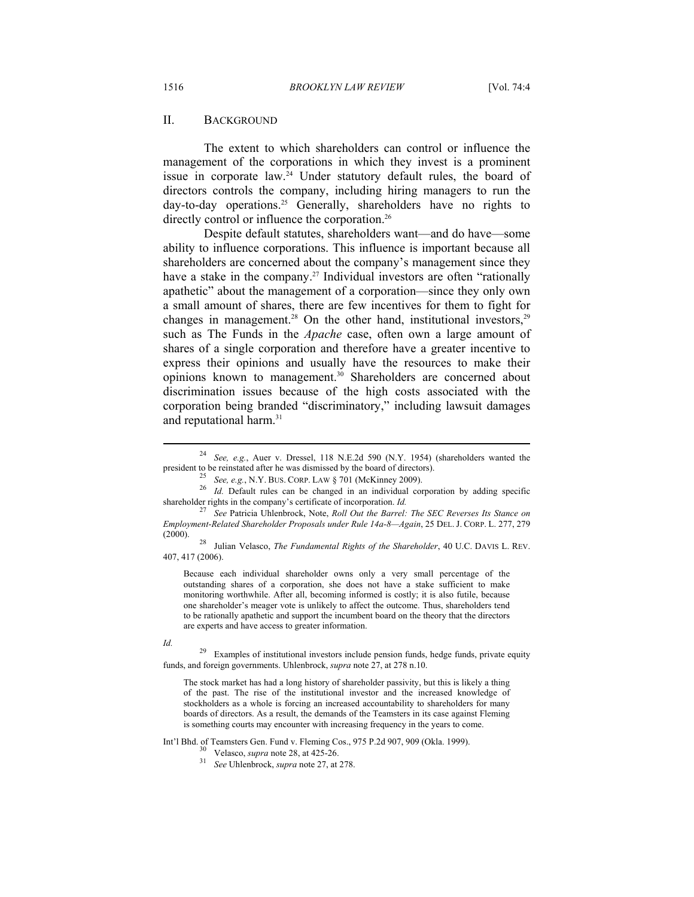#### II. BACKGROUND

The extent to which shareholders can control or influence the management of the corporations in which they invest is a prominent issue in corporate law.<sup>24</sup> Under statutory default rules, the board of directors controls the company, including hiring managers to run the day-to-day operations.<sup>25</sup> Generally, shareholders have no rights to directly control or influence the corporation.<sup>26</sup>

Despite default statutes, shareholders want—and do have—some ability to influence corporations. This influence is important because all shareholders are concerned about the company's management since they have a stake in the company.<sup>27</sup> Individual investors are often "rationally apathetic" about the management of a corporation—since they only own a small amount of shares, there are few incentives for them to fight for changes in management.<sup>28</sup> On the other hand, institutional investors,  $29$ such as The Funds in the *Apache* case, often own a large amount of shares of a single corporation and therefore have a greater incentive to express their opinions and usually have the resources to make their opinions known to management.30 Shareholders are concerned about discrimination issues because of the high costs associated with the corporation being branded "discriminatory," including lawsuit damages and reputational harm.<sup>31</sup>

407, 417 (2006).

Because each individual shareholder owns only a very small percentage of the outstanding shares of a corporation, she does not have a stake sufficient to make monitoring worthwhile. After all, becoming informed is costly; it is also futile, because one shareholder's meager vote is unlikely to affect the outcome. Thus, shareholders tend to be rationally apathetic and support the incumbent board on the theory that the directors are experts and have access to greater information.

*Id.* <sup>29</sup> Examples of institutional investors include pension funds, hedge funds, private equity funds, and foreign governments. Uhlenbrock, *supra* note 27, at 278 n.10.

The stock market has had a long history of shareholder passivity, but this is likely a thing of the past. The rise of the institutional investor and the increased knowledge of stockholders as a whole is forcing an increased accountability to shareholders for many boards of directors. As a result, the demands of the Teamsters in its case against Fleming is something courts may encounter with increasing frequency in the years to come.

Int'l Bhd. of Teamsters Gen. Fund v. Fleming Cos., 975 P.2d 907, 909 (Okla. 1999). 30 Velasco, *supra* note 28, at 425-26. 31 *See* Uhlenbrock, *supra* note 27, at 278.

- 
- 

<sup>&</sup>lt;sup>24</sup> See, e.g., Auer v. Dressel, 118 N.E.2d 590 (N.Y. 1954) (shareholders wanted the president to be reinstated after he was dismissed by the board of directors).

<sup>&</sup>lt;sup>25</sup> *See, e.g., N.Y. BUS. CORP. LAW § 701 (McKinney 2009).*<br><sup>26</sup> *Id.* Default rules can be changed in an individual corporation by adding specific shareholder rights in the company's certificate of incorporation. *Id.* <sup>27</sup> *See* Patricia Uhlenbrock, Note, *Roll Out the Barrel: The SEC Reverses Its Stance on* 

*Employment-Related Shareholder Proposals under Rule 14a-8—Again*, 25 DEL. J. CORP. L. 277, 279 (2000). 28 Julian Velasco, *The Fundamental Rights of the Shareholder*, 40 U.C. DAVIS L. REV.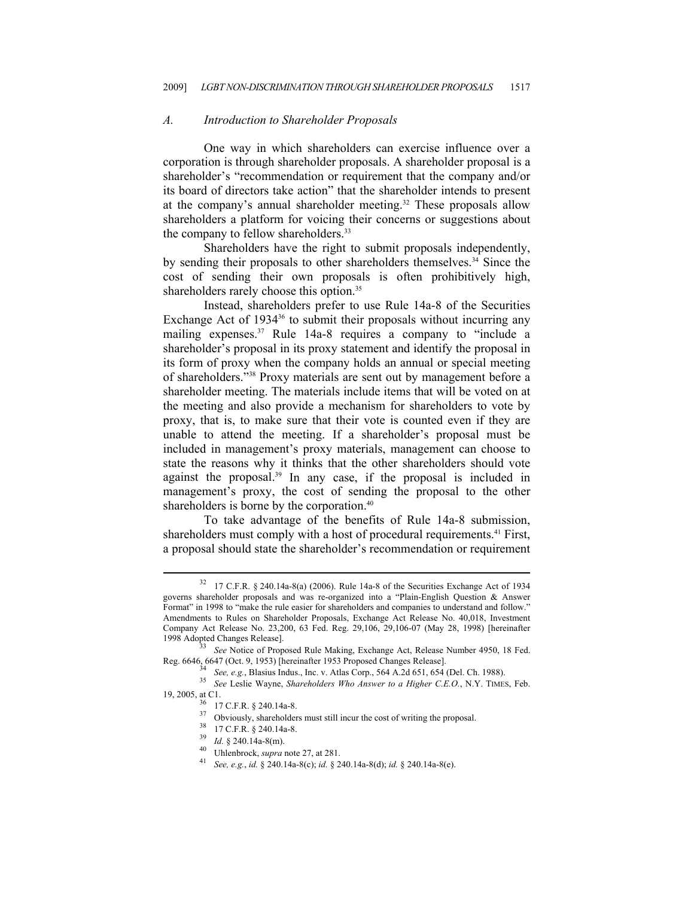#### *A. Introduction to Shareholder Proposals*

One way in which shareholders can exercise influence over a corporation is through shareholder proposals. A shareholder proposal is a shareholder's "recommendation or requirement that the company and/or its board of directors take action" that the shareholder intends to present at the company's annual shareholder meeting.<sup>32</sup> These proposals allow shareholders a platform for voicing their concerns or suggestions about the company to fellow shareholders.<sup>33</sup>

Shareholders have the right to submit proposals independently, by sending their proposals to other shareholders themselves.34 Since the cost of sending their own proposals is often prohibitively high, shareholders rarely choose this option.<sup>35</sup>

Instead, shareholders prefer to use Rule 14a-8 of the Securities Exchange Act of 1934<sup>36</sup> to submit their proposals without incurring any mailing expenses.<sup>37</sup> Rule 14a-8 requires a company to "include a shareholder's proposal in its proxy statement and identify the proposal in its form of proxy when the company holds an annual or special meeting of shareholders."38 Proxy materials are sent out by management before a shareholder meeting. The materials include items that will be voted on at the meeting and also provide a mechanism for shareholders to vote by proxy, that is, to make sure that their vote is counted even if they are unable to attend the meeting. If a shareholder's proposal must be included in management's proxy materials, management can choose to state the reasons why it thinks that the other shareholders should vote against the proposal.39 In any case, if the proposal is included in management's proxy, the cost of sending the proposal to the other shareholders is borne by the corporation.<sup>40</sup>

To take advantage of the benefits of Rule 14a-8 submission, shareholders must comply with a host of procedural requirements.<sup>41</sup> First, a proposal should state the shareholder's recommendation or requirement

 $32$  17 C.F.R. § 240.14a-8(a) (2006). Rule 14a-8 of the Securities Exchange Act of 1934 governs shareholder proposals and was re-organized into a "Plain-English Question & Answer Format" in 1998 to "make the rule easier for shareholders and companies to understand and follow." Amendments to Rules on Shareholder Proposals, Exchange Act Release No. 40,018, Investment Company Act Release No. 23,200, 63 Fed. Reg. 29,106, 29,106-07 (May 28, 1998) [hereinafter 1998 Adopted Changes Release]. 33 *See* Notice of Proposed Rule Making, Exchange Act, Release Number 4950, 18 Fed.

Reg. 6646, 6647 (Oct. 9, 1953) [hereinafter 1953 Proposed Changes Release].<br>
<sup>34</sup> See, e.g., Blasius Indus., Inc. v. Atlas Corp., 564 A.2d 651, 654 (Del. Ch. 1988).<br>
<sup>35</sup> See Leslie Wayne, Shareholders Who Answer to a High

<sup>19, 2005,</sup> at C1.<br> $36 \over 17$  C.F.R. § 240.14a-8.

<sup>37</sup> Obviously, shareholders must still incur the cost of writing the proposal.<br>38 17 C.F.R. § 240.14a-8.<br>39 *Id.* § 240.14a-8(m).

<sup>&</sup>lt;sup>40</sup> Uhlenbrock, *supra* note 27, at 281.<br><sup>41</sup> *See, e.g., id.* § 240.14a-8(c); *id.* § 240.14a-8(d); *id.* § 240.14a-8(e).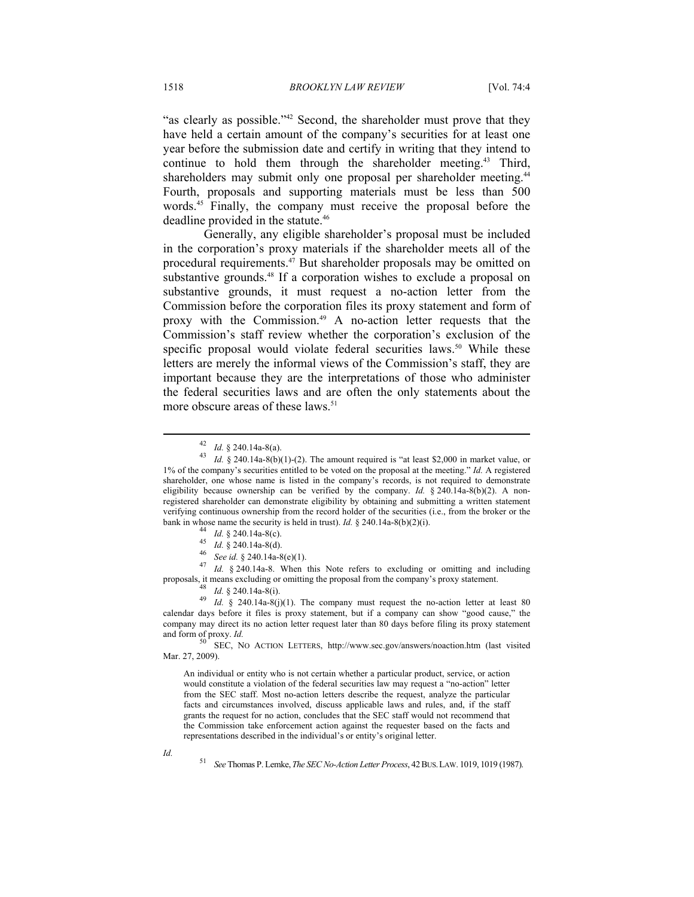"as clearly as possible."<sup>42</sup> Second, the shareholder must prove that they have held a certain amount of the company's securities for at least one year before the submission date and certify in writing that they intend to continue to hold them through the shareholder meeting.<sup>43</sup> Third, shareholders may submit only one proposal per shareholder meeting.<sup>44</sup> Fourth, proposals and supporting materials must be less than 500 words.<sup>45</sup> Finally, the company must receive the proposal before the deadline provided in the statute.<sup>46</sup>

Generally, any eligible shareholder's proposal must be included in the corporation's proxy materials if the shareholder meets all of the procedural requirements.<sup>47</sup> But shareholder proposals may be omitted on substantive grounds.<sup>48</sup> If a corporation wishes to exclude a proposal on substantive grounds, it must request a no-action letter from the Commission before the corporation files its proxy statement and form of proxy with the Commission.49 A no-action letter requests that the Commission's staff review whether the corporation's exclusion of the specific proposal would violate federal securities laws.<sup>50</sup> While these letters are merely the informal views of the Commission's staff, they are important because they are the interpretations of those who administer the federal securities laws and are often the only statements about the more obscure areas of these laws.<sup>51</sup>

- 
- 

<sup>44</sup> *Id.* § 240.14a-8(c).<br><sup>45</sup> *Id.* § 240.14a-8(d).<br><sup>46</sup> *See id.* § 240.14a-8(e)(1).<br><sup>47</sup> *Id.* § 240.14a-8. When this Note refers to excluding or omitting and including proposals, it means excluding or omitting the proposal from the company's proxy statement.<br><sup>48</sup> *Id.* § 240.14a-8(i)(1). The company must request the no-action letter at least 80<br>*Id.* § 240.14a-8(j)(1). The company must r

calendar days before it files is proxy statement, but if a company can show "good cause," the company may direct its no action letter request later than 80 days before filing its proxy statement and form of proxy. *Id.* S0 SEC, NO ACTION LETTERS, http://www.sec.gov/answers/noaction.htm (last visited

Mar. 27, 2009).

An individual or entity who is not certain whether a particular product, service, or action would constitute a violation of the federal securities law may request a "no-action" letter from the SEC staff. Most no-action letters describe the request, analyze the particular facts and circumstances involved, discuss applicable laws and rules, and, if the staff grants the request for no action, concludes that the SEC staff would not recommend that the Commission take enforcement action against the requester based on the facts and representations described in the individual's or entity's original letter.

 $\overline{a}$ 

*Id.* 51 *See* Thomas P. Lemke,*The SEC No-Action Letter Process*, 42BUS.LAW. 1019, 1019 (1987).

<sup>42</sup> *Id.* § 240.14a-8(a).<br><sup>43</sup> *Id.* § 240.14a-8(b)(1)-(2). The amount required is "at least \$2,000 in market value, or 1% of the company's securities entitled to be voted on the proposal at the meeting." *Id.* A registered shareholder, one whose name is listed in the company's records, is not required to demonstrate eligibility because ownership can be verified by the company. *Id.*  $\S$  240.14a-8(b)(2). A nonregistered shareholder can demonstrate eligibility by obtaining and submitting a written statement verifying continuous ownership from the record holder of the securities (i.e., from the broker or the bank in whose name the security is held in trust).  $Id. \S$  240.14a-8(b)(2)(i).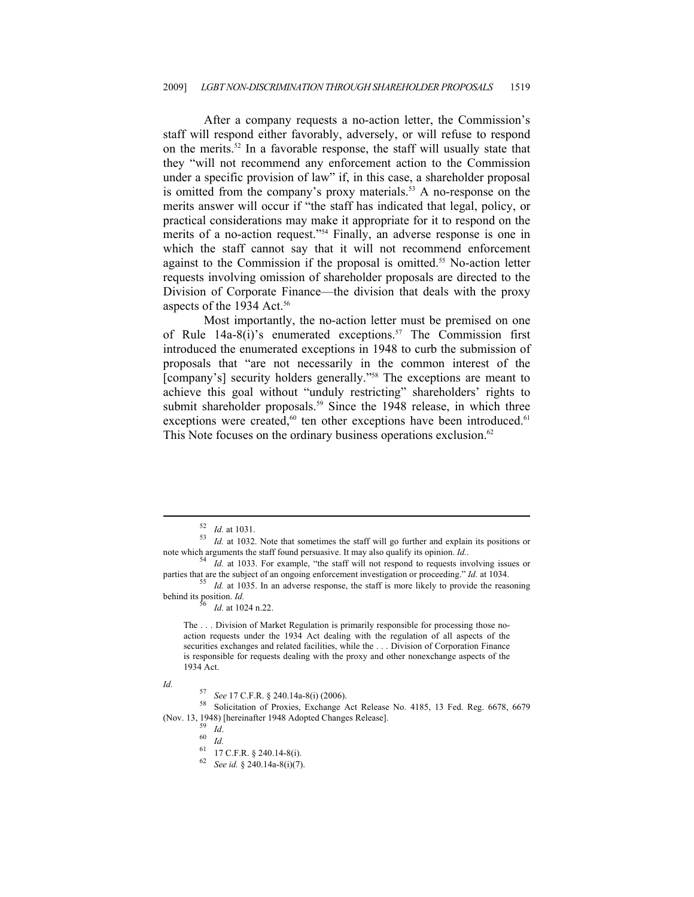After a company requests a no-action letter, the Commission's staff will respond either favorably, adversely, or will refuse to respond on the merits.52 In a favorable response, the staff will usually state that they "will not recommend any enforcement action to the Commission under a specific provision of law" if, in this case, a shareholder proposal is omitted from the company's proxy materials.<sup>53</sup> A no-response on the merits answer will occur if "the staff has indicated that legal, policy, or practical considerations may make it appropriate for it to respond on the merits of a no-action request."54 Finally, an adverse response is one in which the staff cannot say that it will not recommend enforcement against to the Commission if the proposal is omitted.55 No-action letter requests involving omission of shareholder proposals are directed to the Division of Corporate Finance—the division that deals with the proxy aspects of the 1934 Act.<sup>56</sup>

Most importantly, the no-action letter must be premised on one of Rule  $14a-8(i)$ 's enumerated exceptions.<sup>57</sup> The Commission first introduced the enumerated exceptions in 1948 to curb the submission of proposals that "are not necessarily in the common interest of the [company's] security holders generally."<sup>58</sup> The exceptions are meant to achieve this goal without "unduly restricting" shareholders' rights to submit shareholder proposals.<sup>59</sup> Since the 1948 release, in which three exceptions were created, $60$  ten other exceptions have been introduced. $61$ This Note focuses on the ordinary business operations exclusion.<sup>62</sup>

 $\overline{a}$ 

*Id. S7 See* 17 C.F.R. § 240.14a-8(i) (2006). 58 Solicitation of Proxies, Exchange Act Release No. 4185, 13 Fed. Reg. 6678, 6679 (Nov. 13, 1948) [hereinafter 1948 Adopted Changes Release]. 59 *Id*. 60 *Id.*

<sup>52</sup> *Id.* at 1031. 53 *Id.* at 1032. Note that sometimes the staff will go further and explain its positions or note which arguments the staff found persuasive. It may also qualify its opinion. *Id.* 54 *Id.* at 1033. For example, "the staff will not respond to requests involving issues or

parties that are the subject of an ongoing enforcement investigation or proceeding." *Id.* at 1034.<br><sup>55</sup> *Id.* at 1035. In an adverse response, the staff is more likely to provide the reasoning

behind its position.  $Id$ .<br><sup>56</sup> Id. at 1024 n.22.

The . . . Division of Market Regulation is primarily responsible for processing those noaction requests under the 1934 Act dealing with the regulation of all aspects of the securities exchanges and related facilities, while the . . . Division of Corporation Finance is responsible for requests dealing with the proxy and other nonexchange aspects of the 1934 Act.

<sup>61 17</sup> C.F.R. § 240.14-8(i).

<sup>62</sup> *See id.* § 240.14a-8(i)(7).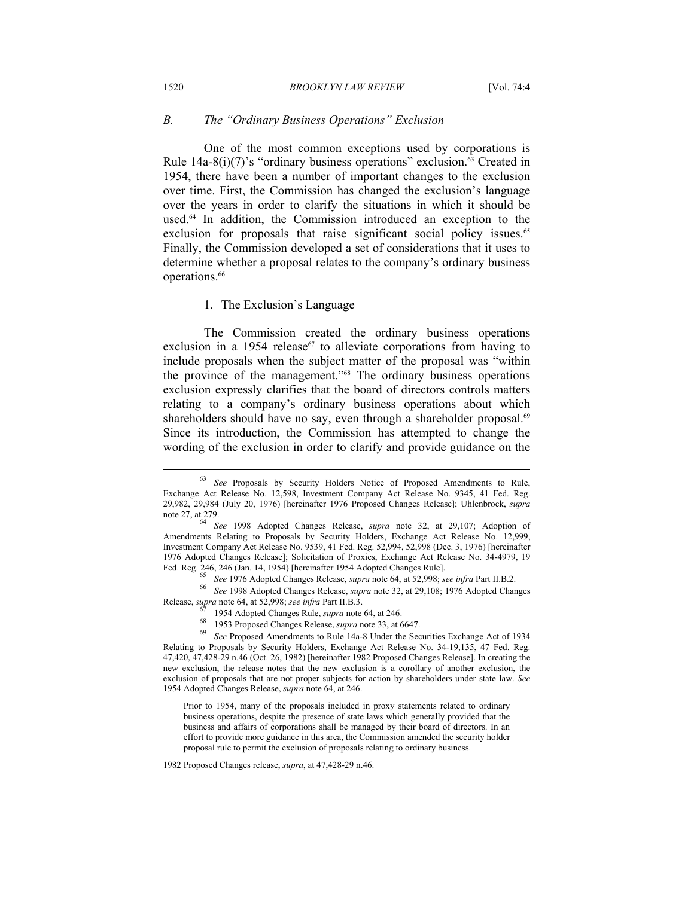#### *B. The "Ordinary Business Operations" Exclusion*

One of the most common exceptions used by corporations is Rule 14a-8(i)(7)'s "ordinary business operations" exclusion.<sup>63</sup> Created in 1954, there have been a number of important changes to the exclusion over time. First, the Commission has changed the exclusion's language over the years in order to clarify the situations in which it should be used.64 In addition, the Commission introduced an exception to the exclusion for proposals that raise significant social policy issues.<sup>65</sup> Finally, the Commission developed a set of considerations that it uses to determine whether a proposal relates to the company's ordinary business operations.<sup>66</sup>

#### 1. The Exclusion's Language

The Commission created the ordinary business operations exclusion in a 1954 release<sup> $67$ </sup> to alleviate corporations from having to include proposals when the subject matter of the proposal was "within the province of the management."68 The ordinary business operations exclusion expressly clarifies that the board of directors controls matters relating to a company's ordinary business operations about which shareholders should have no say, even through a shareholder proposal.<sup>69</sup> Since its introduction, the Commission has attempted to change the wording of the exclusion in order to clarify and provide guidance on the

<sup>63</sup> *See* Proposals by Security Holders Notice of Proposed Amendments to Rule, Exchange Act Release No. 12,598, Investment Company Act Release No. 9345, 41 Fed. Reg. 29,982, 29,984 (July 20, 1976) [hereinafter 1976 Proposed Changes Release]; Uhlenbrock, *supra* note 27, at 279. 64 *See* 1998 Adopted Changes Release, *supra* note 32, at 29,107; Adoption of

Amendments Relating to Proposals by Security Holders, Exchange Act Release No. 12,999, Investment Company Act Release No. 9539, 41 Fed. Reg. 52,994, 52,998 (Dec. 3, 1976) [hereinafter 1976 Adopted Changes Release]; Solicitation of Proxies, Exchange Act Release No. 34-4979, 19

Fed. Reg. 246, 246 (Jan. 14, 1954) [hereinafter 1954 Adopted Changes Rule].<br>
See 1976 Adopted Changes Release, *supra* note 64, at 52,998; *see infra* Part II.B.2.<br>
<sup>66</sup> See 1998 Adopted Changes Release, *supra* note 32, a

Release, *supra* note 64, at 52,998; *see infra* Part II.B.3.<br><sup>67</sup> 1954 Adopted Changes Rule, *supra* note 64, at 246.<br><sup>68</sup> 1953 Proposed Changes Release, *supra* note 33, at 6647.<br><sup>69</sup> *See* Proposed Amendments to Rule 14 Relating to Proposals by Security Holders, Exchange Act Release No. 34-19,135, 47 Fed. Reg. 47,420, 47,428-29 n.46 (Oct. 26, 1982) [hereinafter 1982 Proposed Changes Release]. In creating the new exclusion, the release notes that the new exclusion is a corollary of another exclusion, the exclusion of proposals that are not proper subjects for action by shareholders under state law. *See* 1954 Adopted Changes Release, *supra* note 64, at 246.

Prior to 1954, many of the proposals included in proxy statements related to ordinary business operations, despite the presence of state laws which generally provided that the business and affairs of corporations shall be managed by their board of directors. In an effort to provide more guidance in this area, the Commission amended the security holder proposal rule to permit the exclusion of proposals relating to ordinary business.

<sup>1982</sup> Proposed Changes release, *supra*, at 47,428-29 n.46.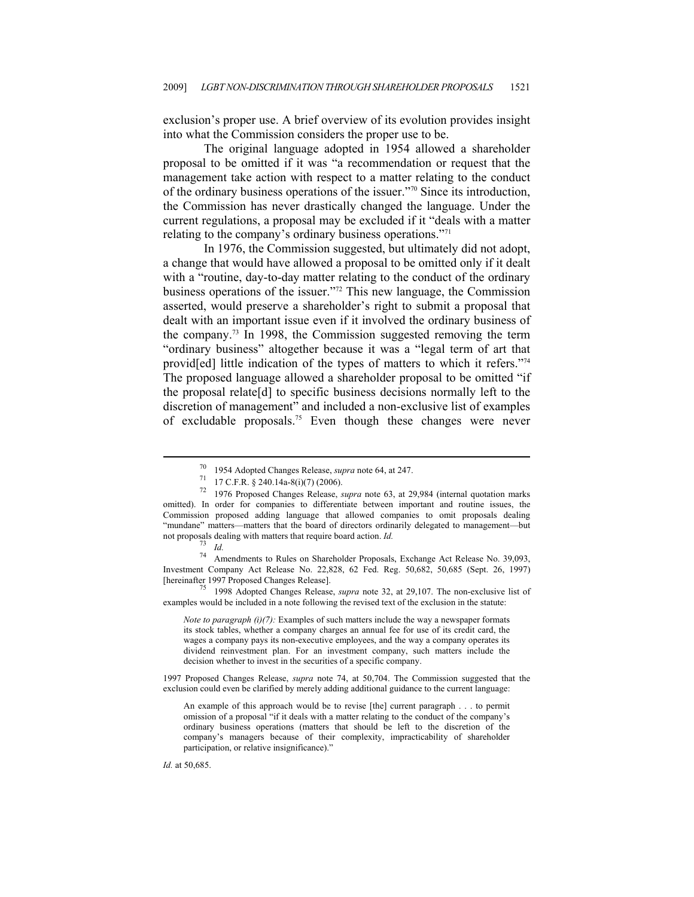exclusion's proper use. A brief overview of its evolution provides insight into what the Commission considers the proper use to be.

The original language adopted in 1954 allowed a shareholder proposal to be omitted if it was "a recommendation or request that the management take action with respect to a matter relating to the conduct of the ordinary business operations of the issuer."70 Since its introduction, the Commission has never drastically changed the language. Under the current regulations, a proposal may be excluded if it "deals with a matter relating to the company's ordinary business operations."71

In 1976, the Commission suggested, but ultimately did not adopt, a change that would have allowed a proposal to be omitted only if it dealt with a "routine, day-to-day matter relating to the conduct of the ordinary business operations of the issuer."72 This new language, the Commission asserted, would preserve a shareholder's right to submit a proposal that dealt with an important issue even if it involved the ordinary business of the company.73 In 1998, the Commission suggested removing the term "ordinary business" altogether because it was a "legal term of art that provid[ed] little indication of the types of matters to which it refers."74 The proposed language allowed a shareholder proposal to be omitted "if the proposal relate[d] to specific business decisions normally left to the discretion of management" and included a non-exclusive list of examples of excludable proposals.75 Even though these changes were never

 $\overline{a}$ 

Amendments to Rules on Shareholder Proposals, Exchange Act Release No. 39,093, Investment Company Act Release No. 22,828, 62 Fed. Reg. 50,682, 50,685 (Sept. 26, 1997) [hereinafter 1997 Proposed Changes Release]. 75 1998 Adopted Changes Release, *supra* note 32, at 29,107. The non-exclusive list of

examples would be included in a note following the revised text of the exclusion in the statute:

*Note to paragraph (i)(7):* Examples of such matters include the way a newspaper formats its stock tables, whether a company charges an annual fee for use of its credit card, the wages a company pays its non-executive employees, and the way a company operates its dividend reinvestment plan. For an investment company, such matters include the decision whether to invest in the securities of a specific company.

1997 Proposed Changes Release, *supra* note 74, at 50,704. The Commission suggested that the exclusion could even be clarified by merely adding additional guidance to the current language:

*Id.* at 50,685.

<sup>70 1954</sup> Adopted Changes Release, *supra* note 64, at 247. 71 17 C.F.R. § 240.14a-8(i)(7) (2006).

<sup>72 1976</sup> Proposed Changes Release, *supra* note 63, at 29,984 (internal quotation marks omitted). In order for companies to differentiate between important and routine issues, the Commission proposed adding language that allowed companies to omit proposals dealing "mundane" matters—matters that the board of directors ordinarily delegated to management—but not proposals dealing with matters that require board action. *Id.*<br>
<sup>73</sup> *Id.*<br>
<sup>74</sup> Amondmonts to Pulse on Shareholder Proposals

An example of this approach would be to revise [the] current paragraph . . . to permit omission of a proposal "if it deals with a matter relating to the conduct of the company's ordinary business operations (matters that should be left to the discretion of the company's managers because of their complexity, impracticability of shareholder participation, or relative insignificance)."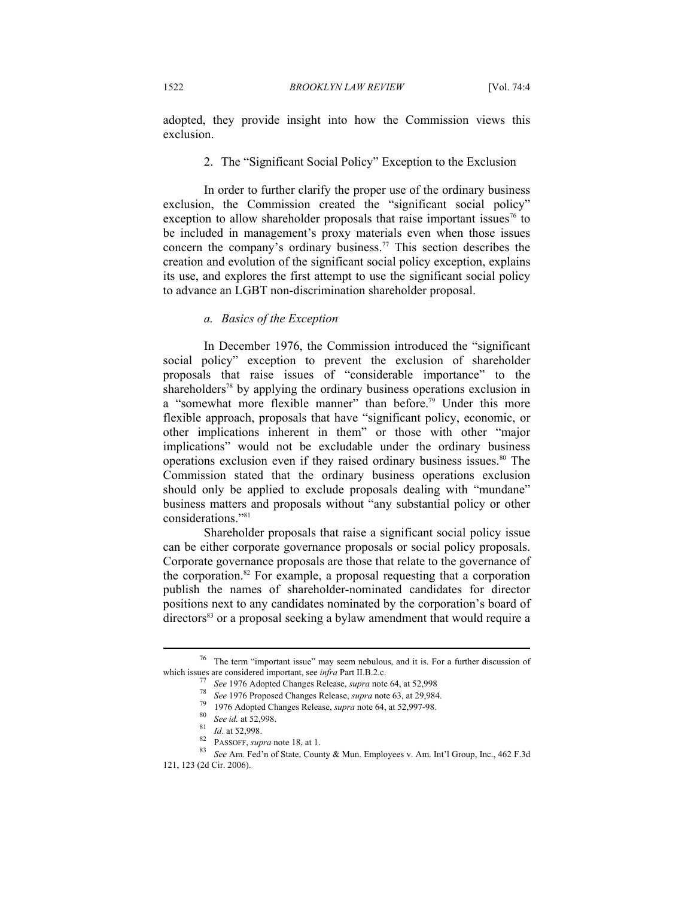adopted, they provide insight into how the Commission views this exclusion.

#### 2. The "Significant Social Policy" Exception to the Exclusion

In order to further clarify the proper use of the ordinary business exclusion, the Commission created the "significant social policy" exception to allow shareholder proposals that raise important issues<sup>76</sup> to be included in management's proxy materials even when those issues concern the company's ordinary business.77 This section describes the creation and evolution of the significant social policy exception, explains its use, and explores the first attempt to use the significant social policy to advance an LGBT non-discrimination shareholder proposal.

#### *a. Basics of the Exception*

In December 1976, the Commission introduced the "significant social policy" exception to prevent the exclusion of shareholder proposals that raise issues of "considerable importance" to the shareholders<sup>78</sup> by applying the ordinary business operations exclusion in a "somewhat more flexible manner" than before.<sup>79</sup> Under this more flexible approach, proposals that have "significant policy, economic, or other implications inherent in them" or those with other "major implications" would not be excludable under the ordinary business operations exclusion even if they raised ordinary business issues.<sup>80</sup> The Commission stated that the ordinary business operations exclusion should only be applied to exclude proposals dealing with "mundane" business matters and proposals without "any substantial policy or other considerations."<sup>81</sup>

Shareholder proposals that raise a significant social policy issue can be either corporate governance proposals or social policy proposals. Corporate governance proposals are those that relate to the governance of the corporation.<sup>82</sup> For example, a proposal requesting that a corporation publish the names of shareholder-nominated candidates for director positions next to any candidates nominated by the corporation's board of directors<sup>83</sup> or a proposal seeking a bylaw amendment that would require a

<sup>76</sup> The term "important issue" may seem nebulous, and it is. For a further discussion of

which issues are considered important, see *infra* Part II.B.2.c.<br>
<sup>77</sup> See 1976 Adopted Changes Release, *supra* note 64, at 52,998<br>
<sup>78</sup> See 1976 Proposed Changes Release, *supra* note 63, at 29,984.<br>
<sup>79</sup> 1976 Adopted 121, 123 (2d Cir. 2006).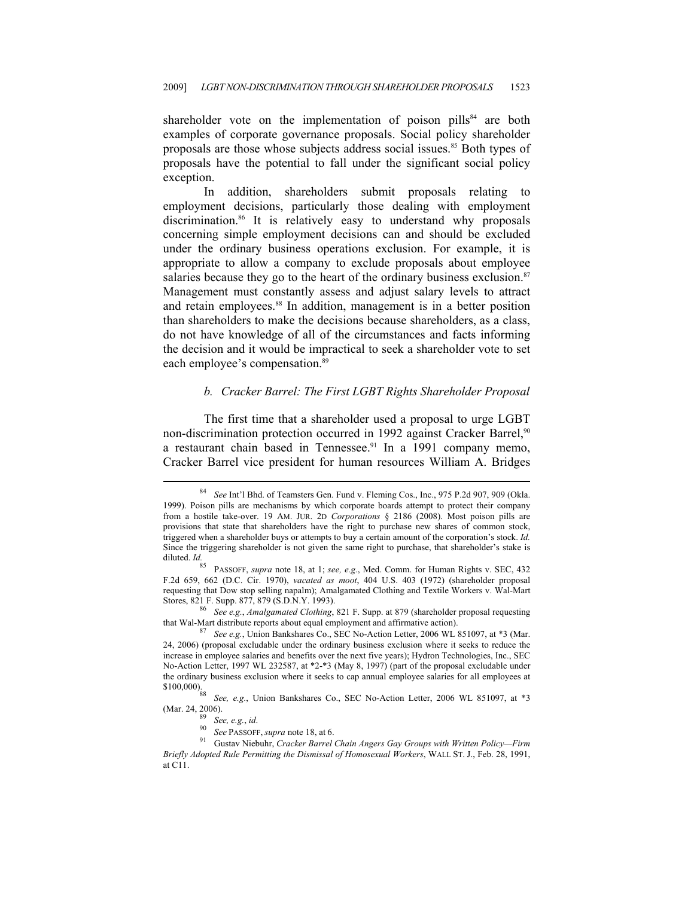shareholder vote on the implementation of poison pills<sup>84</sup> are both examples of corporate governance proposals. Social policy shareholder proposals are those whose subjects address social issues.<sup>85</sup> Both types of proposals have the potential to fall under the significant social policy exception.

In addition, shareholders submit proposals relating to employment decisions, particularly those dealing with employment discrimination.<sup>86</sup> It is relatively easy to understand why proposals concerning simple employment decisions can and should be excluded under the ordinary business operations exclusion. For example, it is appropriate to allow a company to exclude proposals about employee salaries because they go to the heart of the ordinary business exclusion.<sup>87</sup> Management must constantly assess and adjust salary levels to attract and retain employees.<sup>88</sup> In addition, management is in a better position than shareholders to make the decisions because shareholders, as a class, do not have knowledge of all of the circumstances and facts informing the decision and it would be impractical to seek a shareholder vote to set each employee's compensation.<sup>89</sup>

#### *b. Cracker Barrel: The First LGBT Rights Shareholder Proposal*

The first time that a shareholder used a proposal to urge LGBT non-discrimination protection occurred in 1992 against Cracker Barrel,<sup>90</sup> a restaurant chain based in Tennessee.<sup>91</sup> In a 1991 company memo, Cracker Barrel vice president for human resources William A. Bridges

<sup>84</sup> *See* Int'l Bhd. of Teamsters Gen. Fund v. Fleming Cos., Inc., 975 P.2d 907, 909 (Okla. 1999). Poison pills are mechanisms by which corporate boards attempt to protect their company from a hostile take-over. 19 AM. JUR. 2D *Corporations* § 2186 (2008). Most poison pills are provisions that state that shareholders have the right to purchase new shares of common stock, triggered when a shareholder buys or attempts to buy a certain amount of the corporation's stock. *Id.* Since the triggering shareholder is not given the same right to purchase, that shareholder's stake is diluted. *Id.*

<sup>85</sup> PASSOFF, *supra* note 18, at 1; *see, e.g.*, Med. Comm. for Human Rights v. SEC, 432 F.2d 659, 662 (D.C. Cir. 1970), *vacated as moot*, 404 U.S. 403 (1972) (shareholder proposal requesting that Dow stop selling napalm); Amalgamated Clothing and Textile Workers v. Wal-Mart

Stores, 821 F. Supp. 877, 879 (S.D.N.Y. 1993). 86 *See e.g.*, *Amalgamated Clothing*, 821 F. Supp. at 879 (shareholder proposal requesting

See e.g., Union Bankshares Co., SEC No-Action Letter, 2006 WL 851097, at \*3 (Mar. 24, 2006) (proposal excludable under the ordinary business exclusion where it seeks to reduce the increase in employee salaries and benefits over the next five years); Hydron Technologies, Inc., SEC No-Action Letter, 1997 WL 232587, at \*2-\*3 (May 8, 1997) (part of the proposal excludable under the ordinary business exclusion where it seeks to cap annual employee salaries for all employees at

<sup>\$100,000).&</sup>lt;sup>88</sup> See, e.g., Union Bankshares Co., SEC No-Action Letter, 2006 WL 851097, at \*3

<sup>(</sup>Mar. 24, 2006). 89 *See, e.g.*, *id*. 90 *See* PASSOFF, *supra* note 18, at 6. 91 Gustav Niebuhr, *Cracker Barrel Chain Angers Gay Groups with Written Policy—Firm Briefly Adopted Rule Permitting the Dismissal of Homosexual Workers*, WALL ST. J., Feb. 28, 1991, at C11.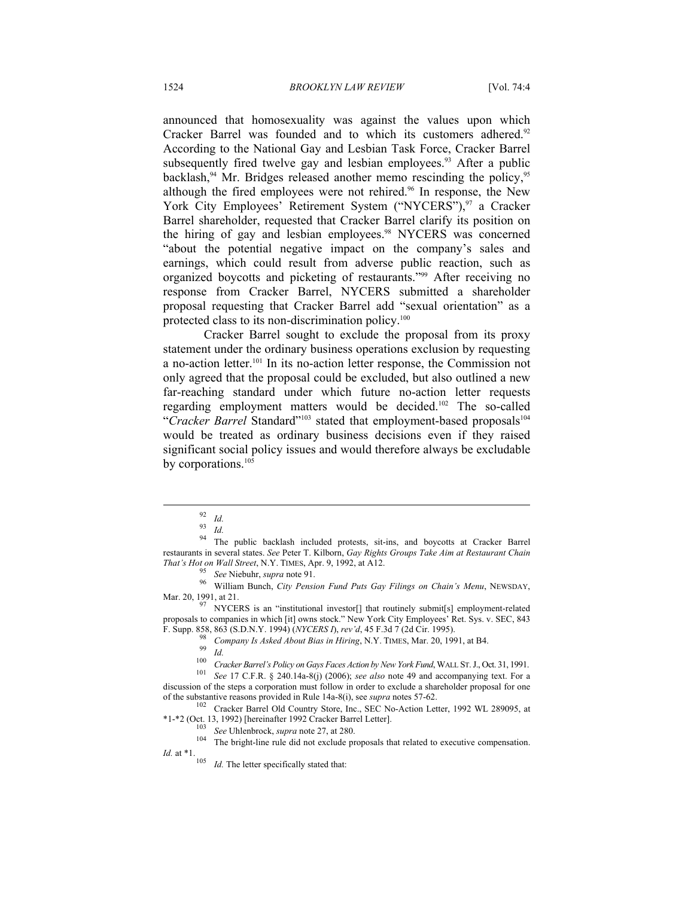announced that homosexuality was against the values upon which Cracker Barrel was founded and to which its customers adhered.<sup>92</sup> According to the National Gay and Lesbian Task Force, Cracker Barrel subsequently fired twelve gay and lesbian employees.<sup>93</sup> After a public backlash, $94$  Mr. Bridges released another memo rescinding the policy,  $95$ although the fired employees were not rehired.<sup>96</sup> In response, the New York City Employees' Retirement System ("NYCERS"),<sup>97</sup> a Cracker Barrel shareholder, requested that Cracker Barrel clarify its position on the hiring of gay and lesbian employees.<sup>98</sup> NYCERS was concerned "about the potential negative impact on the company's sales and earnings, which could result from adverse public reaction, such as organized boycotts and picketing of restaurants."99 After receiving no response from Cracker Barrel, NYCERS submitted a shareholder proposal requesting that Cracker Barrel add "sexual orientation" as a protected class to its non-discrimination policy.<sup>100</sup>

Cracker Barrel sought to exclude the proposal from its proxy statement under the ordinary business operations exclusion by requesting a no-action letter.101 In its no-action letter response, the Commission not only agreed that the proposal could be excluded, but also outlined a new far-reaching standard under which future no-action letter requests regarding employment matters would be decided.102 The so-called "Cracker Barrel Standard"<sup>103</sup> stated that employment-based proposals<sup>104</sup> would be treated as ordinary business decisions even if they raised significant social policy issues and would therefore always be excludable by corporations.<sup>105</sup>

 $\overline{a}$ 

<sup>95</sup> *See* Niebuhr, *supra* note 91.<br><sup>96</sup> William Bunch, *City Pension Fund Puts Gay Filings on Chain's Menu*, NEWSDAY, Mar. 20, 1991, at 21.

 $\frac{97}{97}$  NYCERS is an "institutional investor[] that routinely submit[s] employment-related proposals to companies in which [it] owns stock." New York City Employees' Ret. Sys. v. SEC, 843

<sup>102</sup> Cracker Barrel Old Country Store, Inc., SEC No-Action Letter, 1992 WL 289095, at \*1-\*2 (Oct. 13, 1992) [hereinafter 1992 Cracker Barrel Letter]. 103 *See* Uhlenbrock, *supra* note 27, at 280. 104 The bright-line rule did not exclude proposals that related to executive compensation.

*Id.* The letter specifically stated that:

<sup>92</sup> *Id.* <sup>93</sup> *Id.*

<sup>&</sup>lt;sup>94</sup> The public backlash included protests, sit-ins, and boycotts at Cracker Barrel restaurants in several states. *See* Peter T. Kilborn, *Gay Rights Groups Take Aim at Restaurant Chain* 

F. Supp. 858, 863 (S.D.N.Y. 1994) (*NYCERS I*), rev'd, 45 F.3d 7 (2d Cir. 1995).<br>
<sup>98</sup> Company Is Asked About Bias in Hiring, N.Y. TIMES, Mar. 20, 1991, at B4.<br>
<sup>99</sup> Id.<br>
<sup>100</sup> Cracker Barrel's Policy on Gays Faces Action discussion of the steps a corporation must follow in order to exclude a shareholder proposal for one of the substantive reasons provided in Rule  $14a-8(i)$ , see *supra* notes 57-62.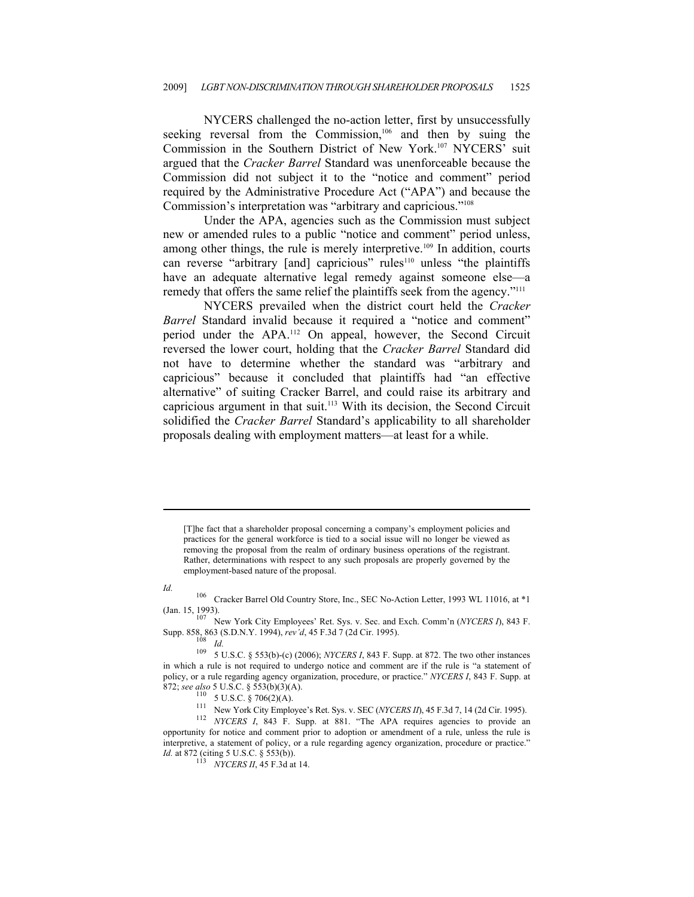NYCERS challenged the no-action letter, first by unsuccessfully seeking reversal from the Commission,<sup>106</sup> and then by suing the Commission in the Southern District of New York.107 NYCERS' suit argued that the *Cracker Barrel* Standard was unenforceable because the Commission did not subject it to the "notice and comment" period required by the Administrative Procedure Act ("APA") and because the Commission's interpretation was "arbitrary and capricious."108

Under the APA, agencies such as the Commission must subject new or amended rules to a public "notice and comment" period unless, among other things, the rule is merely interpretive.<sup>109</sup> In addition, courts can reverse "arbitrary [and] capricious" rules<sup>110</sup> unless "the plaintiffs have an adequate alternative legal remedy against someone else—a remedy that offers the same relief the plaintiffs seek from the agency."<sup>111</sup>

NYCERS prevailed when the district court held the *Cracker Barrel* Standard invalid because it required a "notice and comment" period under the APA.112 On appeal, however, the Second Circuit reversed the lower court, holding that the *Cracker Barrel* Standard did not have to determine whether the standard was "arbitrary and capricious" because it concluded that plaintiffs had "an effective alternative" of suiting Cracker Barrel, and could raise its arbitrary and capricious argument in that suit.113 With its decision, the Second Circuit solidified the *Cracker Barrel* Standard's applicability to all shareholder proposals dealing with employment matters—at least for a while.

[T]he fact that a shareholder proposal concerning a company's employment policies and practices for the general workforce is tied to a social issue will no longer be viewed as removing the proposal from the realm of ordinary business operations of the registrant. Rather, determinations with respect to any such proposals are properly governed by the employment-based nature of the proposal.

 $\overline{a}$ 

*Id.* **106** Cracker Barrel Old Country Store, Inc., SEC No-Action Letter, 1993 WL 11016, at \*1

(Jan. 15, 1993).<br><sup>107</sup> New York City Employees' Ret. Sys. v. Sec. and Exch. Comm'n (*NYCERS I*), 843 F.<br>Supp. 858, 863 (S.D.N.Y. 1994), *rev'd*, 45 F.3d 7 (2d Cir. 1995).<br><sup>108</sup> *IA* 

872; see also 5 U.S.C. § 553(b)(3)(A).<br><sup>110</sup> 5 U.S.C. § 706(2)(A).<br><sup>111</sup> New York City Employee's Ret. Sys. v. SEC (*NYCERS II*), 45 F.3d 7, 14 (2d Cir. 1995).<br><sup>112</sup> *NYCERS 1*, 843 F. Supp. at 881. "The APA requires agen opportunity for notice and comment prior to adoption or amendment of a rule, unless the rule is interpretive, a statement of policy, or a rule regarding agency organization, procedure or practice." *Id.* at 872 (citing 5 U.S.C. § 553(b)).<br><sup>113</sup> *NYCERS II*, 45 F.3d at 14.

<sup>108</sup> *Id.*<br><sup>109</sup> 5 U.S.C. § 553(b)-(c) (2006); *NYCERS I*, 843 F. Supp. at 872. The two other instances in which a rule is not required to undergo notice and comment are if the rule is "a statement of policy, or a rule regarding agency organization, procedure, or practice." *NYCERS I*, 843 F. Supp. at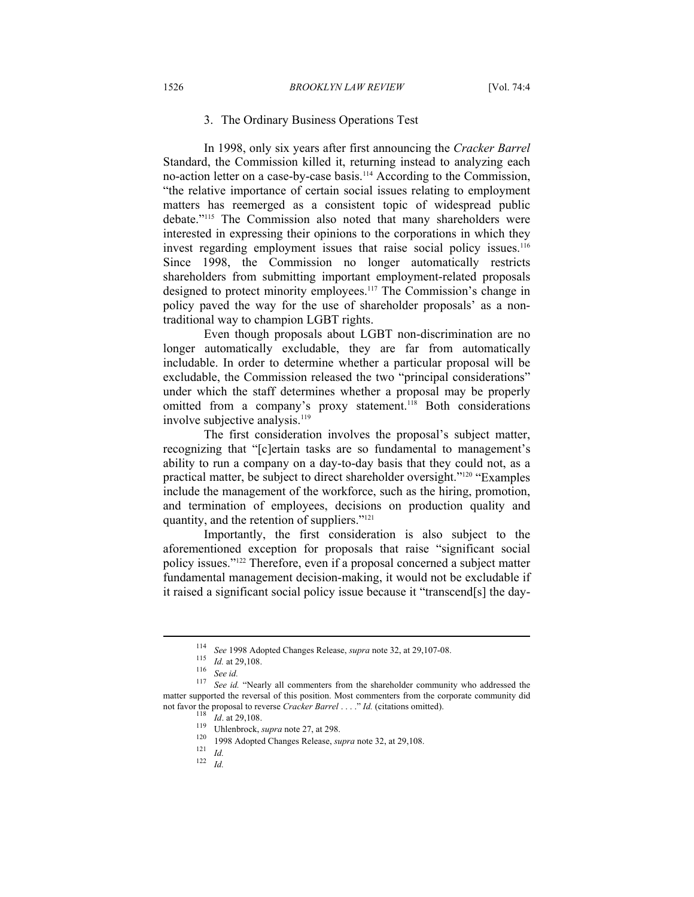#### 3. The Ordinary Business Operations Test

In 1998, only six years after first announcing the *Cracker Barrel*  Standard, the Commission killed it, returning instead to analyzing each no-action letter on a case-by-case basis.114 According to the Commission, "the relative importance of certain social issues relating to employment matters has reemerged as a consistent topic of widespread public debate."115 The Commission also noted that many shareholders were interested in expressing their opinions to the corporations in which they invest regarding employment issues that raise social policy issues.<sup>116</sup> Since 1998, the Commission no longer automatically restricts shareholders from submitting important employment-related proposals designed to protect minority employees.<sup>117</sup> The Commission's change in policy paved the way for the use of shareholder proposals' as a nontraditional way to champion LGBT rights.

Even though proposals about LGBT non-discrimination are no longer automatically excludable, they are far from automatically includable. In order to determine whether a particular proposal will be excludable, the Commission released the two "principal considerations" under which the staff determines whether a proposal may be properly omitted from a company's proxy statement.<sup>118</sup> Both considerations involve subjective analysis.<sup>119</sup>

The first consideration involves the proposal's subject matter, recognizing that "[c]ertain tasks are so fundamental to management's ability to run a company on a day-to-day basis that they could not, as a practical matter, be subject to direct shareholder oversight."120 "Examples include the management of the workforce, such as the hiring, promotion, and termination of employees, decisions on production quality and quantity, and the retention of suppliers."121

Importantly, the first consideration is also subject to the aforementioned exception for proposals that raise "significant social policy issues."122 Therefore, even if a proposal concerned a subject matter fundamental management decision-making, it would not be excludable if it raised a significant social policy issue because it "transcend[s] the day-

<sup>&</sup>lt;sup>114</sup> *See* 1998 Adopted Changes Release, *supra* note 32, at 29,107-08.<br><sup>115</sup> *Id.* at 29,108.<br><sup>116</sup> *See id.* "Nearly all commenters from the shareholder community who addressed the

matter supported the reversal of this position. Most commenters from the corporate community did not favor the proposal to reverse *Cracker Barrel* . . . ." *Id.* (citations omitted).<br>
<sup>118</sup> *Id.* at 29,108.<br>
Uhlenbrock, *supra* note 27, at 298.<br>
<sup>120</sup> 1998 Adopted Changes Release, *supra* note 32, at 29,108.<br>
<sup>121</sup>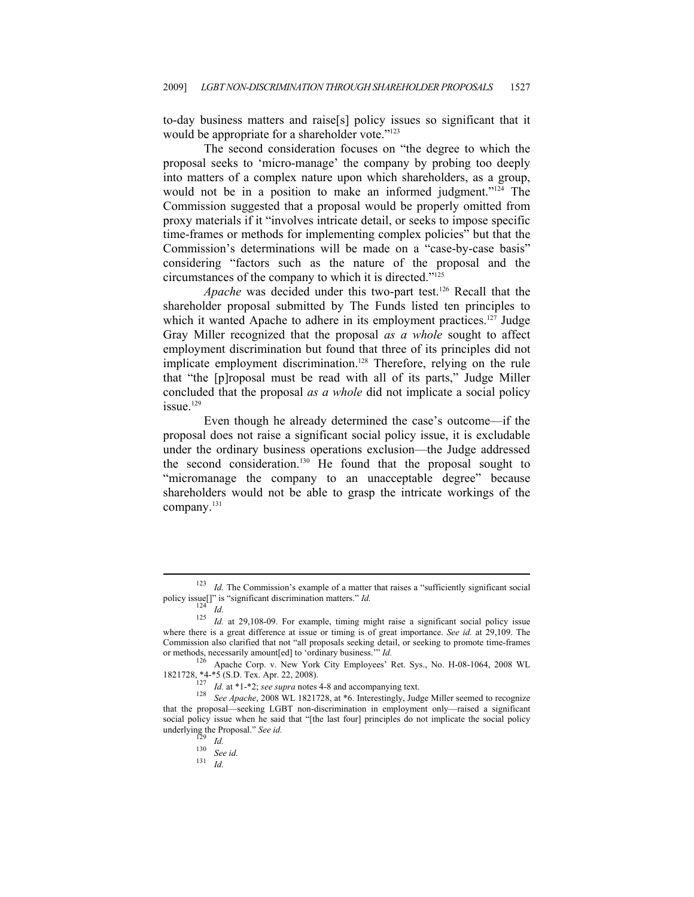to-day business matters and raise[s] policy issues so significant that it would be appropriate for a shareholder vote."<sup>123</sup>

The second consideration focuses on "the degree to which the proposal seeks to 'micro-manage' the company by probing too deeply into matters of a complex nature upon which shareholders, as a group, would not be in a position to make an informed judgment."<sup>124</sup> The Commission suggested that a proposal would be properly omitted from proxy materials if it "involves intricate detail, or seeks to impose specific time-frames or methods for implementing complex policies" but that the Commission's determinations will be made on a "case-by-case basis" considering "factors such as the nature of the proposal and the circumstances of the company to which it is directed."125

*Apache* was decided under this two-part test.126 Recall that the shareholder proposal submitted by The Funds listed ten principles to which it wanted Apache to adhere in its employment practices.<sup>127</sup> Judge Gray Miller recognized that the proposal *as a whole* sought to affect employment discrimination but found that three of its principles did not implicate employment discrimination.<sup>128</sup> Therefore, relying on the rule that "the [p]roposal must be read with all of its parts," Judge Miller concluded that the proposal *as a whole* did not implicate a social policy issue.129

Even though he already determined the case's outcome—if the proposal does not raise a significant social policy issue, it is excludable under the ordinary business operations exclusion—the Judge addressed the second consideration.<sup>130</sup> He found that the proposal sought to "micromanage the company to an unacceptable degree" because shareholders would not be able to grasp the intricate workings of the company.131

<sup>&</sup>lt;sup>123</sup> *Id.* The Commission's example of a matter that raises a "sufficiently significant social policy issue[]" is "significant discrimination matters." *Id.* 

<sup>&</sup>lt;sup>124</sup> *Id. Id.* at 29,108-09. For example, timing might raise a significant social policy issue where there is a great difference at issue or timing is of great importance. *See id.* at 29,109. The Commission also clarified that not "all proposals seeking detail, or seeking to promote time-frames or methods, necessarily amount[ed] to 'ordinary business.'" *Id.* 126 Apache Corp. v. New York City Employees' Ret. Sys., No. H-08-1064, 2008 WL

<sup>1821728, \*4-\*5 (</sup>S.D. Tex. Apr. 22, 2008).<br>
<sup>127</sup> *Id.* at \*1-\*2; *see supra* notes 4-8 and accompanying text.<br>
<sup>128</sup> *See Apache*, 2008 WL 1821728, at \*6. Interestingly, Judge Miller seemed to recognize

that the proposal—seeking LGBT non-discrimination in employment only—raised a significant social policy issue when he said that "[the last four] principles do not implicate the social policy underlying the Proposal." *See id.* <sup>129</sup> *Id.* <sup>130</sup> *See id.* 131 *Id.*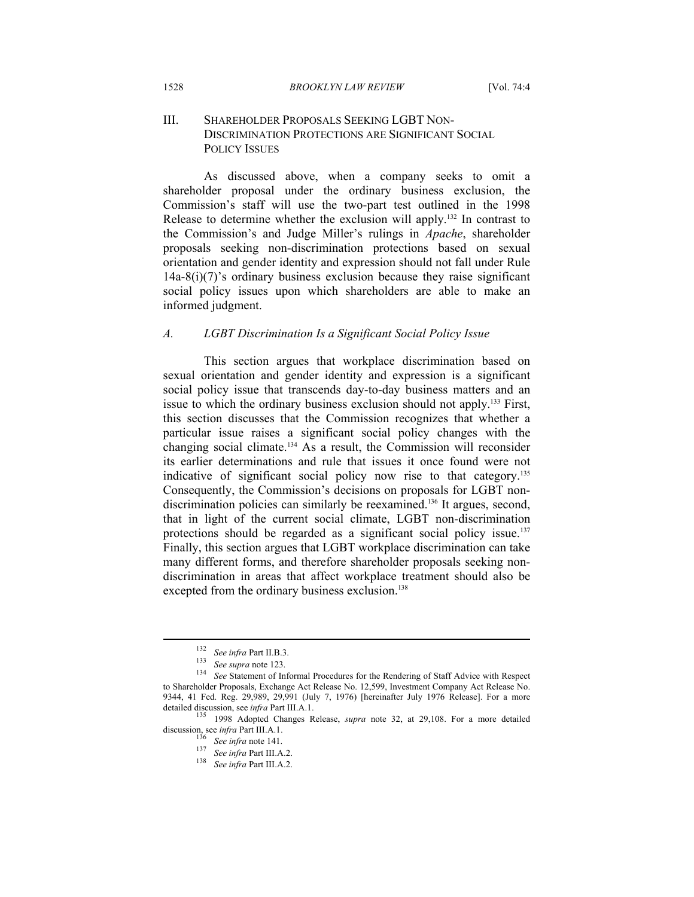#### III. SHAREHOLDER PROPOSALS SEEKING LGBT NON-DISCRIMINATION PROTECTIONS ARE SIGNIFICANT SOCIAL POLICY ISSUES

As discussed above, when a company seeks to omit a shareholder proposal under the ordinary business exclusion, the Commission's staff will use the two-part test outlined in the 1998 Release to determine whether the exclusion will apply.132 In contrast to the Commission's and Judge Miller's rulings in *Apache*, shareholder proposals seeking non-discrimination protections based on sexual orientation and gender identity and expression should not fall under Rule  $14a-8(i)(7)$ 's ordinary business exclusion because they raise significant social policy issues upon which shareholders are able to make an informed judgment.

#### *A. LGBT Discrimination Is a Significant Social Policy Issue*

This section argues that workplace discrimination based on sexual orientation and gender identity and expression is a significant social policy issue that transcends day-to-day business matters and an issue to which the ordinary business exclusion should not apply.133 First, this section discusses that the Commission recognizes that whether a particular issue raises a significant social policy changes with the changing social climate.134 As a result, the Commission will reconsider its earlier determinations and rule that issues it once found were not indicative of significant social policy now rise to that category.<sup>135</sup> Consequently, the Commission's decisions on proposals for LGBT nondiscrimination policies can similarly be reexamined.<sup>136</sup> It argues, second, that in light of the current social climate, LGBT non-discrimination protections should be regarded as a significant social policy issue.<sup>137</sup> Finally, this section argues that LGBT workplace discrimination can take many different forms, and therefore shareholder proposals seeking nondiscrimination in areas that affect workplace treatment should also be excepted from the ordinary business exclusion.<sup>138</sup>

<sup>132</sup> *See infra* Part II.B.3. 133 *See supra* note 123. 134 *See* Statement of Informal Procedures for the Rendering of Staff Advice with Respect to Shareholder Proposals, Exchange Act Release No. 12,599, Investment Company Act Release No. 9344, 41 Fed. Reg. 29,989, 29,991 (July 7, 1976) [hereinafter July 1976 Release]. For a more detailed discussion, see *infra* Part III.A.1.<br><sup>135</sup> 1998 Adopted Changes Release, *supra* note 32, at 29,108. For a more detailed

discussion, see *infra* Part III.A.1.<br>
<sup>136</sup> *See infra* note 141.<br>
<sup>137</sup> *See infra* Part III.A.2.<br> *See infra* Part III.A.2.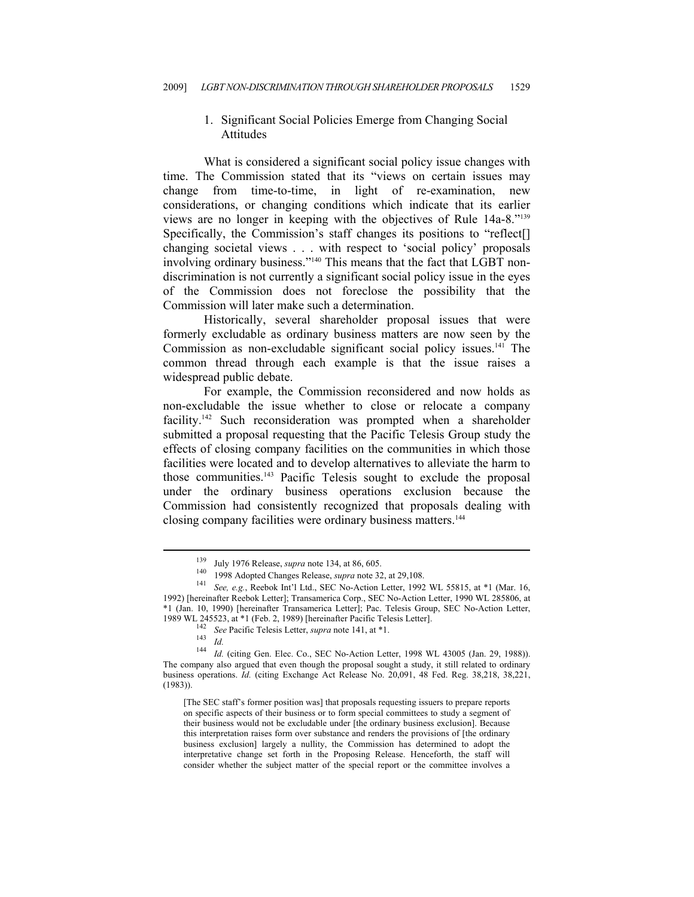#### 1. Significant Social Policies Emerge from Changing Social Attitudes

What is considered a significant social policy issue changes with time. The Commission stated that its "views on certain issues may change from time-to-time, in light of re-examination, new considerations, or changing conditions which indicate that its earlier views are no longer in keeping with the objectives of Rule 14a-8."139 Specifically, the Commission's staff changes its positions to "reflect[] changing societal views . . . with respect to 'social policy' proposals involving ordinary business."140 This means that the fact that LGBT nondiscrimination is not currently a significant social policy issue in the eyes of the Commission does not foreclose the possibility that the Commission will later make such a determination.

Historically, several shareholder proposal issues that were formerly excludable as ordinary business matters are now seen by the Commission as non-excludable significant social policy issues.<sup>141</sup> The common thread through each example is that the issue raises a widespread public debate.

For example, the Commission reconsidered and now holds as non-excludable the issue whether to close or relocate a company facility.<sup>142</sup> Such reconsideration was prompted when a shareholder submitted a proposal requesting that the Pacific Telesis Group study the effects of closing company facilities on the communities in which those facilities were located and to develop alternatives to alleviate the harm to those communities.143 Pacific Telesis sought to exclude the proposal under the ordinary business operations exclusion because the Commission had consistently recognized that proposals dealing with closing company facilities were ordinary business matters.<sup>144</sup>

<sup>&</sup>lt;sup>139</sup> July 1976 Release, *supra* note 134, at 86, 605.<br><sup>140</sup> 1998 Adopted Changes Release, *supra* note 32, at 29,108.<br><sup>141</sup> *See, e.g.*, Reebok Int'l Ltd., SEC No-Action Letter, 1992 WL 55815, at \*1 (Mar. 16, 1992) [hereinafter Reebok Letter]; Transamerica Corp., SEC No-Action Letter, 1990 WL 285806, at \*1 (Jan. 10, 1990) [hereinafter Transamerica Letter]; Pac. Telesis Group, SEC No-Action Letter,

<sup>1989</sup> WL 245523, at \*1 (Feb. 2, 1989) [hereinafter Pacific Telesis Letter].<br>
<sup>142</sup> See Pacific Telesis Letter, *supra* note 141, at \*1.<br>
<sup>143</sup> *Id.*<br>
<sup>144</sup> *Id.* (citing Gen. Elec. Co., SEC No-Action Letter, 1998 WL 43005 The company also argued that even though the proposal sought a study, it still related to ordinary business operations. *Id.* (citing Exchange Act Release No. 20,091, 48 Fed. Reg. 38,218, 38,221, (1983)).

<sup>[</sup>The SEC staff's former position was] that proposals requesting issuers to prepare reports on specific aspects of their business or to form special committees to study a segment of their business would not be excludable under [the ordinary business exclusion]. Because this interpretation raises form over substance and renders the provisions of [the ordinary business exclusion] largely a nullity, the Commission has determined to adopt the interpretative change set forth in the Proposing Release. Henceforth, the staff will consider whether the subject matter of the special report or the committee involves a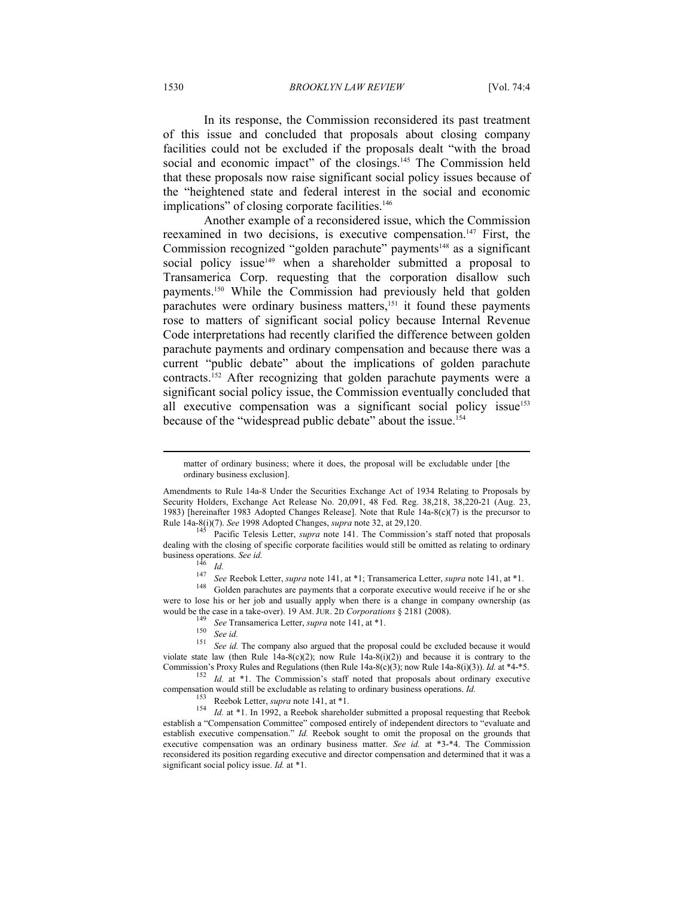1530 *BROOKLYN LAW REVIEW* [Vol. 74:4

In its response, the Commission reconsidered its past treatment of this issue and concluded that proposals about closing company facilities could not be excluded if the proposals dealt "with the broad social and economic impact" of the closings.<sup>145</sup> The Commission held that these proposals now raise significant social policy issues because of the "heightened state and federal interest in the social and economic implications" of closing corporate facilities.<sup>146</sup>

Another example of a reconsidered issue, which the Commission reexamined in two decisions, is executive compensation.<sup>147</sup> First, the Commission recognized "golden parachute" payments<sup>148</sup> as a significant social policy issue<sup>149</sup> when a shareholder submitted a proposal to Transamerica Corp. requesting that the corporation disallow such payments.150 While the Commission had previously held that golden parachutes were ordinary business matters,<sup>151</sup> it found these payments rose to matters of significant social policy because Internal Revenue Code interpretations had recently clarified the difference between golden parachute payments and ordinary compensation and because there was a current "public debate" about the implications of golden parachute contracts.<sup>152</sup> After recognizing that golden parachute payments were a significant social policy issue, the Commission eventually concluded that all executive compensation was a significant social policy issue<sup>153</sup> because of the "widespread public debate" about the issue.<sup>154</sup>

matter of ordinary business; where it does, the proposal will be excludable under [the ordinary business exclusion].

Amendments to Rule 14a-8 Under the Securities Exchange Act of 1934 Relating to Proposals by Security Holders, Exchange Act Release No. 20,091, 48 Fed. Reg. 38,218, 38,220-21 (Aug. 23, 1983) [hereinafter 1983 Adopted Changes Release]. Note that Rule 14a-8(c)(7) is the precursor to Rule 14a-8(i)(7). *See* 1998 Adopted Changes, *supra* note 32, at 29,120.<br><sup>145</sup> Pacific Telesis Letter, *supra* note 141. The Commission's staff noted that proposals

dealing with the closing of specific corporate facilities would still be omitted as relating to ordinary business operations. See id.

<sup>&</sup>lt;sup>146</sup> *Id.*<br><sup>147</sup> *See* Reebok Letter, *supra* note 141, at \*1; Transamerica Letter, *supra* note 141, at \*1.<br><sup>148</sup> Golden parachutes are payments that a corporate executive would receive if he or she were to lose his or her job and usually apply when there is a change in company ownership (as

would be the case in a take-over). 19 AM. JUR. 2D Corporations § 2181 (2008).<br><sup>149</sup> See Transamerica Letter, *supra* note 141, at \*1.<br><sup>150</sup> See id.<br><sup>151</sup> See id. The company also argued that the proposal could be excluded violate state law (then Rule  $14a-8(c)(2)$ ; now Rule  $14a-8(i)(2)$ ) and because it is contrary to the Commission's Proxy Rules and Regulations (then Rule 14a-8(c)(3); now Rule 14a-8(i)(3)). *Id.* at \*4-\*5.<br><sup>152</sup> *Id.* at \*1. The Commission's staff noted that proposals about ordinary executive

compensation would still be excludable as relating to ordinary business operations. *Id.* IS3 Reebok Letter, *supra* note 141, at \*1.<br>
IS4 Id. at \*1. In 1992, a Reebok shareholder submitted a proposal requesting that Reeb

establish a "Compensation Committee" composed entirely of independent directors to "evaluate and establish executive compensation." *Id.* Reebok sought to omit the proposal on the grounds that executive compensation was an ordinary business matter. *See id.* at \*3-\*4. The Commission reconsidered its position regarding executive and director compensation and determined that it was a significant social policy issue. *Id.* at \*1.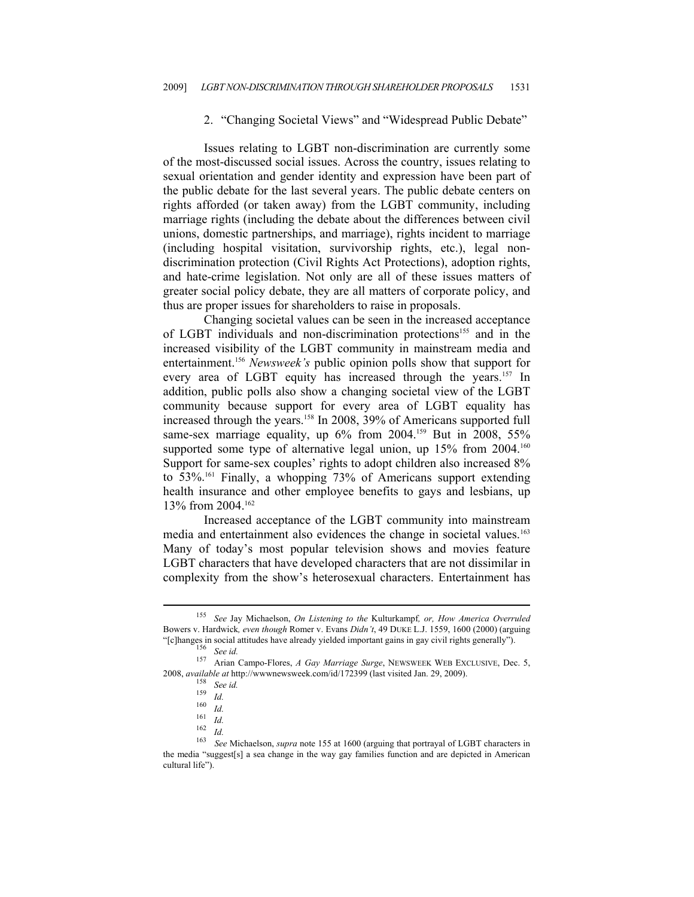#### 2. "Changing Societal Views" and "Widespread Public Debate"

Issues relating to LGBT non-discrimination are currently some of the most-discussed social issues. Across the country, issues relating to sexual orientation and gender identity and expression have been part of the public debate for the last several years. The public debate centers on rights afforded (or taken away) from the LGBT community, including marriage rights (including the debate about the differences between civil unions, domestic partnerships, and marriage), rights incident to marriage (including hospital visitation, survivorship rights, etc.), legal nondiscrimination protection (Civil Rights Act Protections), adoption rights, and hate-crime legislation. Not only are all of these issues matters of greater social policy debate, they are all matters of corporate policy, and thus are proper issues for shareholders to raise in proposals.

Changing societal values can be seen in the increased acceptance of LGBT individuals and non-discrimination protections<sup>155</sup> and in the increased visibility of the LGBT community in mainstream media and entertainment.156 *Newsweek's* public opinion polls show that support for every area of LGBT equity has increased through the years.<sup>157</sup> In addition, public polls also show a changing societal view of the LGBT community because support for every area of LGBT equality has increased through the years.<sup>158</sup> In 2008, 39% of Americans supported full same-sex marriage equality, up 6% from 2004.<sup>159</sup> But in 2008, 55% supported some type of alternative legal union, up 15% from 2004.<sup>160</sup> Support for same-sex couples' rights to adopt children also increased 8% to 53%.161 Finally, a whopping 73% of Americans support extending health insurance and other employee benefits to gays and lesbians, up 13% from 2004.162

Increased acceptance of the LGBT community into mainstream media and entertainment also evidences the change in societal values.<sup>163</sup> Many of today's most popular television shows and movies feature LGBT characters that have developed characters that are not dissimilar in complexity from the show's heterosexual characters. Entertainment has

<sup>155</sup> *See* Jay Michaelson, *On Listening to the* Kulturkampf*, or, How America Overruled*  Bowers v. Hardwick*, even though* Romer v. Evans *Didn't*, 49 DUKE L.J. 1559, 1600 (2000) (arguing "[c]hanges in social attitudes have already yielded important gains in gay civil rights generally"). 156 *See id.* 157 Arian Campo-Flores, *A Gay Marriage Surge*, NEWSWEEK WEB EXCLUSIVE, Dec. 5,

<sup>2008,</sup> *available at http://wwwnewsweek.com/id/172399 (last visited Jan. 29, 2009).*<br><sup>158</sup> *See id.*<br><sup>159</sup> *Id.*<br><sup>169</sup> *Id.*<br><sup>161</sup> *Id.*<br><sup>162</sup> *Id.*<br><sup>162</sup> *Id.*<br><sup>162</sup> *Id.*<br><sup>162</sup> *Id.*<br><sup>162</sup> *Id.*<br><sup>162</sup> *Id.*<br><sup>162</sup> *Id.* 

the media "suggest[s] a sea change in the way gay families function and are depicted in American cultural life").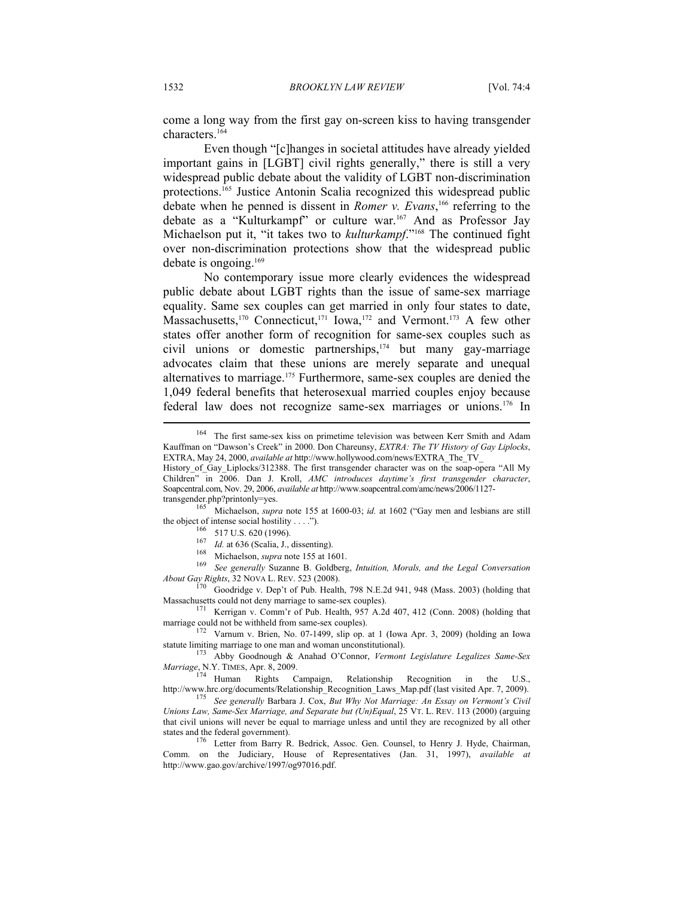come a long way from the first gay on-screen kiss to having transgender characters.164

Even though "[c]hanges in societal attitudes have already yielded important gains in [LGBT] civil rights generally," there is still a very widespread public debate about the validity of LGBT non-discrimination protections.165 Justice Antonin Scalia recognized this widespread public debate when he penned is dissent in *Romer v. Evans*, 166 referring to the debate as a "Kulturkampf" or culture war.167 And as Professor Jay Michaelson put it, "it takes two to *kulturkampf*."168 The continued fight over non-discrimination protections show that the widespread public debate is ongoing.169

No contemporary issue more clearly evidences the widespread public debate about LGBT rights than the issue of same-sex marriage equality. Same sex couples can get married in only four states to date, Massachusetts,<sup>170</sup> Connecticut,<sup>171</sup> Iowa,<sup>172</sup> and Vermont.<sup>173</sup> A few other states offer another form of recognition for same-sex couples such as civil unions or domestic partnerships,<sup>174</sup> but many gay-marriage advocates claim that these unions are merely separate and unequal alternatives to marriage.175 Furthermore, same-sex couples are denied the 1,049 federal benefits that heterosexual married couples enjoy because federal law does not recognize same-sex marriages or unions.176 In

transgender.php?printonly=yes.<br><sup>165</sup> Michaelson, *supra* note 155 at 1600-03; *id.* at 1602 ("Gay men and lesbians are still the object of intense social hostility ....").

<sup>166</sup> 517 U.S. 620 (1996).<br><sup>166</sup> 517 U.S. 620 (1996).<br><sup>167</sup> *Id.* at 636 (Scalia, J., dissenting).<br><sup>168</sup> Michaelson, *supra* note 155 at 1601.<br><sup>169</sup> *See generally* Suzanne B. Goldberg, *Intuition, Morals, and the Legal C About Gay Rights*, 32 NOVA L. REV. 523 (2008). <sup>170</sup> Goodridge v. Dep't of Pub. Health, 798 N.E.2d 941, 948 (Mass. 2003) (holding that

Massachusetts could not deny marriage to same-sex couples).<br><sup>171</sup> Kerrigan v. Comm'r of Pub. Health, 957 A.2d 407, 412 (Conn. 2008) (holding that marriage could not be withheld from same-sex couples).

Varnum v. Brien, No. 07-1499, slip op. at 1 (Iowa Apr. 3, 2009) (holding an Iowa statute limiting marriage to one man and woman unconstitutional). 173 Abby Goodnough & Anahad O'Connor, *Vermont Legislature Legalizes Same-Sex* 

*Marriage*, N.Y. TIMES, Apr. 8, 2009.<br><sup>174</sup> Human Rights Campaign, Relationship Recognition in the U.S.,

http://www.hrc.org/documents/Relationship\_Recognition\_Laws\_Map.pdf (last visited Apr. 7, 2009). 175 *See generally* Barbara J. Cox, *But Why Not Marriage: An Essay on Vermont's Civil* 

*Unions Law, Same-Sex Marriage, and Separate but (Un)Equal*, 25 VT. L. REV. 113 (2000) (arguing that civil unions will never be equal to marriage unless and until they are recognized by all other states and the federal government). 176 Letter from Barry R. Bedrick, Assoc. Gen. Counsel, to Henry J. Hyde, Chairman,

Comm. on the Judiciary, House of Representatives (Jan. 31, 1997), *available at* http://www.gao.gov/archive/1997/og97016.pdf.

<sup>164</sup> The first same-sex kiss on primetime television was between Kerr Smith and Adam Kauffman on "Dawson's Creek" in 2000. Don Chareunsy, *EXTRA: The TV History of Gay Liplocks*, EXTRA, May 24, 2000, *available at* http://www.hollywood.com/news/EXTRA\_The\_TV\_

History\_of\_Gay\_Liplocks/312388. The first transgender character was on the soap-opera "All My Children" in 2006. Dan J. Kroll, *AMC introduces daytime's first transgender character*, Soapcentral.com, Nov. 29, 2006, *available at* http://www.soapcentral.com/amc/news/2006/1127-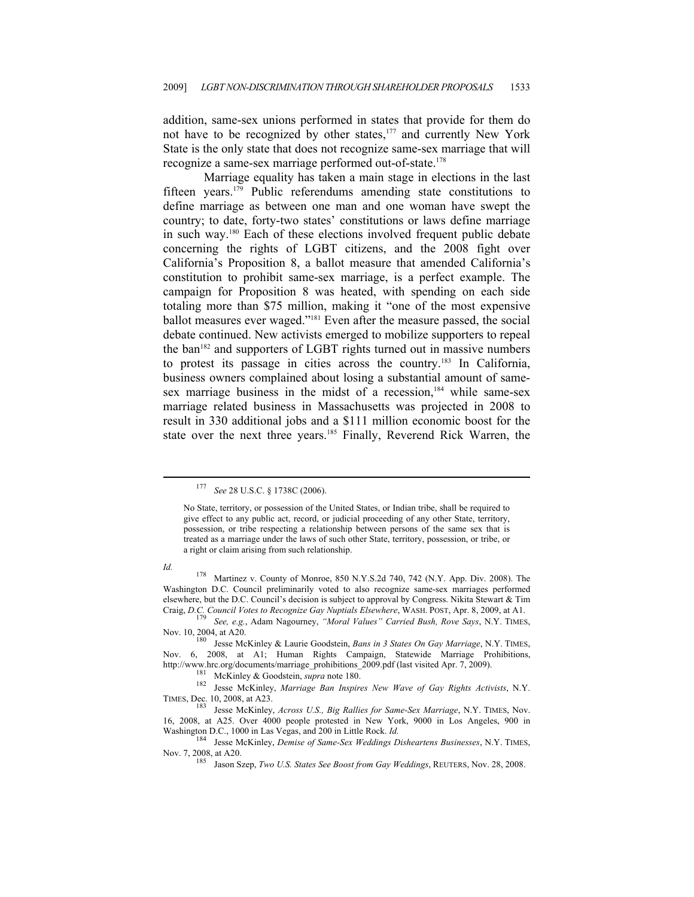addition, same-sex unions performed in states that provide for them do not have to be recognized by other states,<sup>177</sup> and currently New York State is the only state that does not recognize same-sex marriage that will recognize a same-sex marriage performed out-of-state.<sup>178</sup>

Marriage equality has taken a main stage in elections in the last fifteen years.179 Public referendums amending state constitutions to define marriage as between one man and one woman have swept the country; to date, forty-two states' constitutions or laws define marriage in such way.180 Each of these elections involved frequent public debate concerning the rights of LGBT citizens, and the 2008 fight over California's Proposition 8, a ballot measure that amended California's constitution to prohibit same-sex marriage, is a perfect example. The campaign for Proposition 8 was heated, with spending on each side totaling more than \$75 million, making it "one of the most expensive ballot measures ever waged."181 Even after the measure passed, the social debate continued. New activists emerged to mobilize supporters to repeal the ban<sup>182</sup> and supporters of LGBT rights turned out in massive numbers to protest its passage in cities across the country.183 In California, business owners complained about losing a substantial amount of samesex marriage business in the midst of a recession, $184$  while same-sex marriage related business in Massachusetts was projected in 2008 to result in 330 additional jobs and a \$111 million economic boost for the state over the next three years.<sup>185</sup> Finally, Reverend Rick Warren, the

<sup>177</sup> *See* 28 U.S.C. § 1738C (2006).

No State, territory, or possession of the United States, or Indian tribe, shall be required to give effect to any public act, record, or judicial proceeding of any other State, territory, possession, or tribe respecting a relationship between persons of the same sex that is treated as a marriage under the laws of such other State, territory, possession, or tribe, or a right or claim arising from such relationship.

*Id.* **178** Martinez v. County of Monroe, 850 N.Y.S.2d 740, 742 (N.Y. App. Div. 2008). The Washington D.C. Council preliminarily voted to also recognize same-sex marriages performed elsewhere, but the D.C. Council's decision is subject to approval by Congress. Nikita Stewart & Tim

Craig, *D.C. Council Votes to Recognize Gay Nuptials Elsewhere*, WASH. POST, Apr. 8, 2009, at A1. 179 *See, e.g.*, Adam Nagourney, *"Moral Values" Carried Bush, Rove Says*, N.Y. TIMES, Nov. 10, 2004, at A20.

<sup>180</sup> Jesse McKinley & Laurie Goodstein, *Bans in 3 States On Gay Marriage*, N.Y. TIMES, Nov. 6, 2008, at A1; Human Rights Campaign, Statewide Marriage Prohibitions,

http://www.hrc.org/documents/marriage\_prohibitions\_2009.pdf (last visited Apr. 7, 2009).<br>
<sup>181</sup> McKinley & Goodstein, *supra* note 180.<br>
<sup>182</sup> Jesse McKinley, *Marriage Ban Inspires New Wave of Gay Rights Activists*, N.Y.<br>

<sup>183</sup> Jesse McKinley, *Across U.S., Big Rallies for Same-Sex Marriage*, N.Y. TIMES, Nov. 16, 2008, at A25. Over 4000 people protested in New York, 9000 in Los Angeles, 900 in Washington D.C., 1000 in Las Vegas, and 200 in Little Rock. *Id.* <sup>184</sup> Jesse McKinley, *Demise of Same-Sex Weddings Disheartens Businesses*, N.Y. TIMES,

Nov. 7, 2008, at A20. 185 Jason Szep, *Two U.S. States See Boost from Gay Weddings*, REUTERS, Nov. 28, 2008.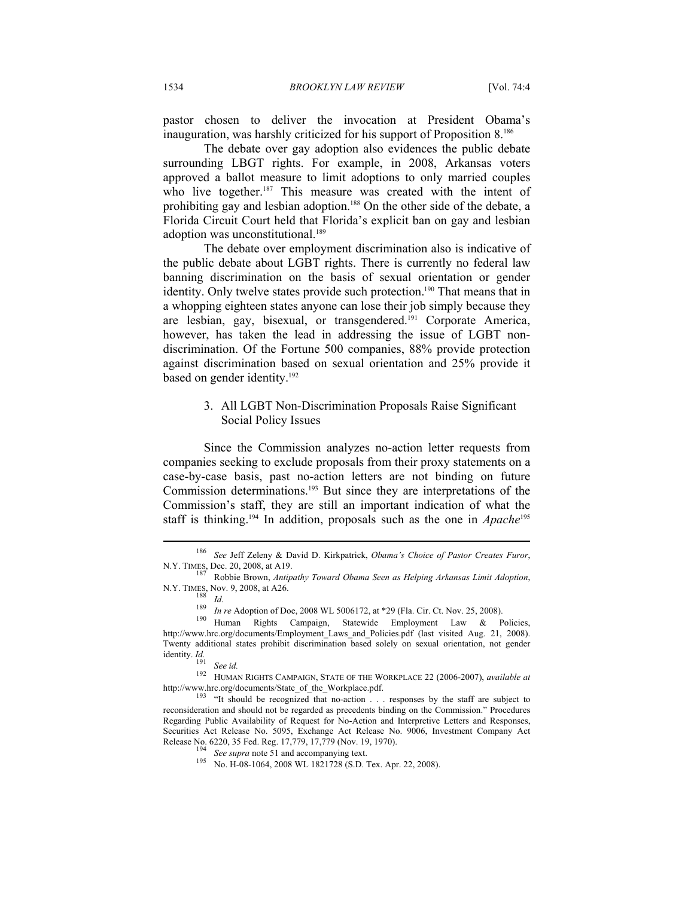pastor chosen to deliver the invocation at President Obama's inauguration, was harshly criticized for his support of Proposition 8.186

The debate over gay adoption also evidences the public debate surrounding LBGT rights. For example, in 2008, Arkansas voters approved a ballot measure to limit adoptions to only married couples who live together.<sup>187</sup> This measure was created with the intent of prohibiting gay and lesbian adoption.<sup>188</sup> On the other side of the debate, a Florida Circuit Court held that Florida's explicit ban on gay and lesbian adoption was unconstitutional.<sup>189</sup>

The debate over employment discrimination also is indicative of the public debate about LGBT rights. There is currently no federal law banning discrimination on the basis of sexual orientation or gender identity. Only twelve states provide such protection.<sup>190</sup> That means that in a whopping eighteen states anyone can lose their job simply because they are lesbian, gay, bisexual, or transgendered.191 Corporate America, however, has taken the lead in addressing the issue of LGBT nondiscrimination. Of the Fortune 500 companies, 88% provide protection against discrimination based on sexual orientation and 25% provide it based on gender identity.<sup>192</sup>

#### 3. All LGBT Non-Discrimination Proposals Raise Significant Social Policy Issues

Since the Commission analyzes no-action letter requests from companies seeking to exclude proposals from their proxy statements on a case-by-case basis, past no-action letters are not binding on future Commission determinations.193 But since they are interpretations of the Commission's staff, they are still an important indication of what the staff is thinking.<sup>194</sup> In addition, proposals such as the one in *Apache*<sup>195</sup>

<sup>186</sup> *See* Jeff Zeleny & David D. Kirkpatrick, *Obama's Choice of Pastor Creates Furor*,

N.Y. TIMES, Dec. 20, 2008, at A19.<br><sup>187</sup> Robbie Brown, *Antipathy Toward Obama Seen as Helping Arkansas Limit Adoption*, N.Y. TIMES, Nov. 9, 2008, at A26.

<sup>&</sup>lt;sup>188</sup> *Id.*<br><sup>189</sup> *In re* Adoption of Doe, 2008 WL 5006172, at \*29 (Fla. Cir. Ct. Nov. 25, 2008).<br><sup>190</sup> Human Rights Campaign, Statewide Employment Law & Policies, http://www.hrc.org/documents/Employment\_Laws\_and\_Policies.pdf (last visited Aug. 21, 2008). Twenty additional states prohibit discrimination based solely on sexual orientation, not gender identity.  $Id$ .

identity. *Id.* 191 *See id.* 192 HUMAN RIGHTS CAMPAIGN, STATE OF THE WORKPLACE 22 (2006-2007), *available at* http://www.hrc.org/documents/State\_of\_the\_Workplace.pdf. <sup>193</sup> "It should be recognized that no-action . . . responses by the staff are subject to

reconsideration and should not be regarded as precedents binding on the Commission." Procedures Regarding Public Availability of Request for No-Action and Interpretive Letters and Responses, Securities Act Release No. 5095, Exchange Act Release No. 9006, Investment Company Act Release No. 6220, 35 Fed. Reg. 17,779, 17,779 (Nov. 19, 1970).

Ree supra note 51 and accompanying text.<br><sup>195</sup> No. H-08-1064, 2008 WL 1821728 (S.D. Tex. Apr. 22, 2008).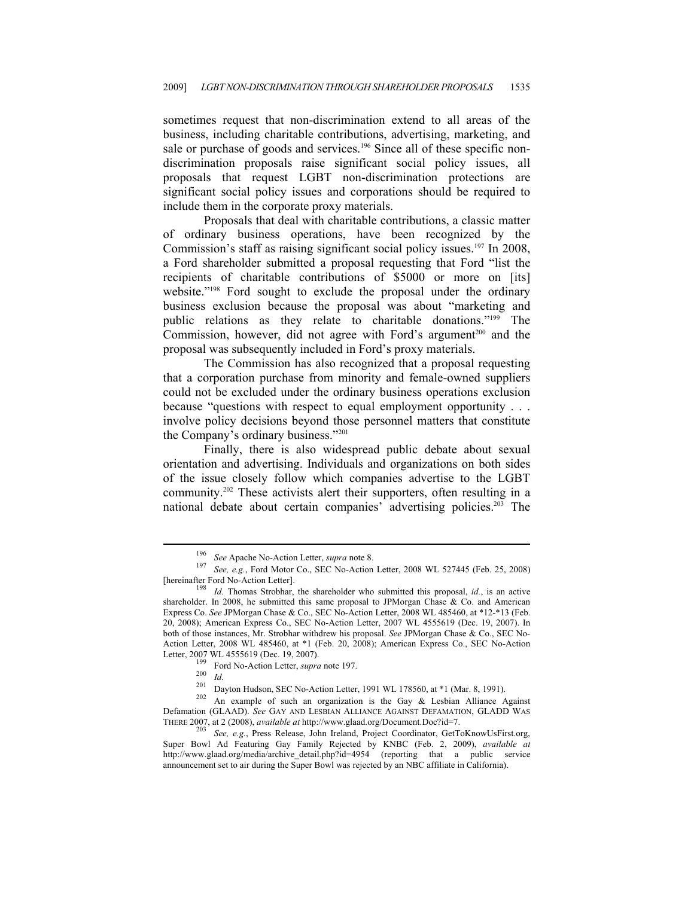sometimes request that non-discrimination extend to all areas of the business, including charitable contributions, advertising, marketing, and sale or purchase of goods and services.<sup>196</sup> Since all of these specific nondiscrimination proposals raise significant social policy issues, all proposals that request LGBT non-discrimination protections are significant social policy issues and corporations should be required to include them in the corporate proxy materials.

Proposals that deal with charitable contributions, a classic matter of ordinary business operations, have been recognized by the Commission's staff as raising significant social policy issues.<sup>197</sup> In 2008, a Ford shareholder submitted a proposal requesting that Ford "list the recipients of charitable contributions of \$5000 or more on [its] website."<sup>198</sup> Ford sought to exclude the proposal under the ordinary business exclusion because the proposal was about "marketing and public relations as they relate to charitable donations."199 The Commission, however, did not agree with Ford's argument<sup>200</sup> and the proposal was subsequently included in Ford's proxy materials.

The Commission has also recognized that a proposal requesting that a corporation purchase from minority and female-owned suppliers could not be excluded under the ordinary business operations exclusion because "questions with respect to equal employment opportunity . . . involve policy decisions beyond those personnel matters that constitute the Company's ordinary business."201

Finally, there is also widespread public debate about sexual orientation and advertising. Individuals and organizations on both sides of the issue closely follow which companies advertise to the LGBT community.202 These activists alert their supporters, often resulting in a national debate about certain companies' advertising policies.203 The

<sup>196</sup> *See* Apache No-Action Letter, *supra* note 8. 197 *See, e.g.*, Ford Motor Co., SEC No-Action Letter, 2008 WL 527445 (Feb. 25, 2008)

<sup>[</sup>hereinafter Ford No-Action Letter]. 198 *Id.* Thomas Strobhar, the shareholder who submitted this proposal, *id.*, is an active shareholder. In 2008, he submitted this same proposal to JPMorgan Chase  $\&$  Co. and American Express Co. *See* JPMorgan Chase & Co., SEC No-Action Letter, 2008 WL 485460, at \*12-\*13 (Feb. 20, 2008); American Express Co., SEC No-Action Letter, 2007 WL 4555619 (Dec. 19, 2007). In both of those instances, Mr. Strobhar withdrew his proposal. *See* JPMorgan Chase & Co., SEC No-Action Letter, 2008 WL 485460, at \*1 (Feb. 20, 2008); American Express Co., SEC No-Action Letter, 2007 WL 4555619 (Dec. 19, 2007).<br>
<sup>199</sup> Ford No-Action Letter, *supra* note 197.<br>
<sup>200</sup> *Id.*<br>
201 Dayton Hudson, SEC No-Action Letter, 1991 WL 178560, at \*1 (Mar. 8, 1991).<br>
<sup>202</sup> An example of such an organizati

Defamation (GLAAD). *See* GAY AND LESBIAN ALLIANCE AGAINST DEFAMATION, GLADD WAS THERE 2007, at 2 (2008), *available at* http://www.glaad.org/Document.Doc?id=7. 203 *See, e.g.*, Press Release, John Ireland, Project Coordinator, GetToKnowUsFirst.org,

Super Bowl Ad Featuring Gay Family Rejected by KNBC (Feb. 2, 2009), *available at* http://www.glaad.org/media/archive detail.php?id=4954 (reporting that a public service announcement set to air during the Super Bowl was rejected by an NBC affiliate in California).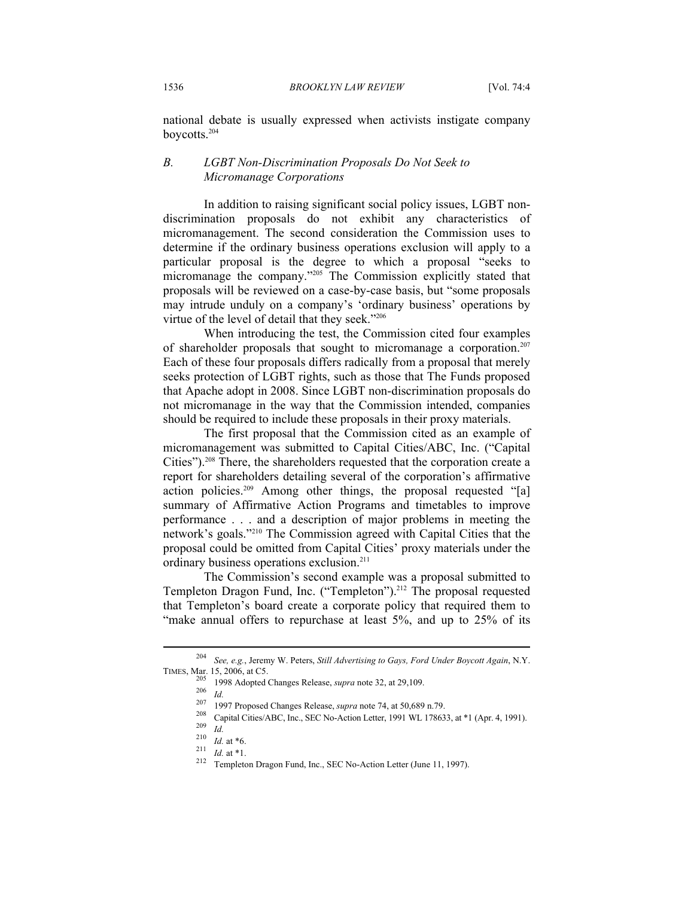national debate is usually expressed when activists instigate company boycotts.204

#### *B. LGBT Non-Discrimination Proposals Do Not Seek to Micromanage Corporations*

In addition to raising significant social policy issues, LGBT nondiscrimination proposals do not exhibit any characteristics of micromanagement. The second consideration the Commission uses to determine if the ordinary business operations exclusion will apply to a particular proposal is the degree to which a proposal "seeks to micromanage the company."<sup>205</sup> The Commission explicitly stated that proposals will be reviewed on a case-by-case basis, but "some proposals may intrude unduly on a company's 'ordinary business' operations by virtue of the level of detail that they seek."206

When introducing the test, the Commission cited four examples of shareholder proposals that sought to micromanage a corporation.207 Each of these four proposals differs radically from a proposal that merely seeks protection of LGBT rights, such as those that The Funds proposed that Apache adopt in 2008. Since LGBT non-discrimination proposals do not micromanage in the way that the Commission intended, companies should be required to include these proposals in their proxy materials.

The first proposal that the Commission cited as an example of micromanagement was submitted to Capital Cities/ABC, Inc. ("Capital Cities").208 There, the shareholders requested that the corporation create a report for shareholders detailing several of the corporation's affirmative action policies.209 Among other things, the proposal requested "[a] summary of Affirmative Action Programs and timetables to improve performance . . . and a description of major problems in meeting the network's goals."210 The Commission agreed with Capital Cities that the proposal could be omitted from Capital Cities' proxy materials under the ordinary business operations exclusion.211

The Commission's second example was a proposal submitted to Templeton Dragon Fund, Inc. ("Templeton").<sup>212</sup> The proposal requested that Templeton's board create a corporate policy that required them to "make annual offers to repurchase at least 5%, and up to 25% of its

<sup>&</sup>lt;sup>204</sup> *See, e.g.*, Jeremy W. Peters, *Still Advertising to Gays, Ford Under Boycott Again*, N.Y.<br>TIMES, Mar. 15, 2006, at C5. TIMES, Mar. 15, 2006, at C5.<br>
<sup>205</sup> 1998 Adopted Changes Release, *supra* note 32, at 29,109.<br>
<sup>206</sup> *Id.*<br>
<sup>207</sup> 1997 Proposed Changes Release, *supra* note 74, at 50,689 n.79.<br>
<sup>208</sup> Capital Cities/ABC, Inc., SEC No-Acti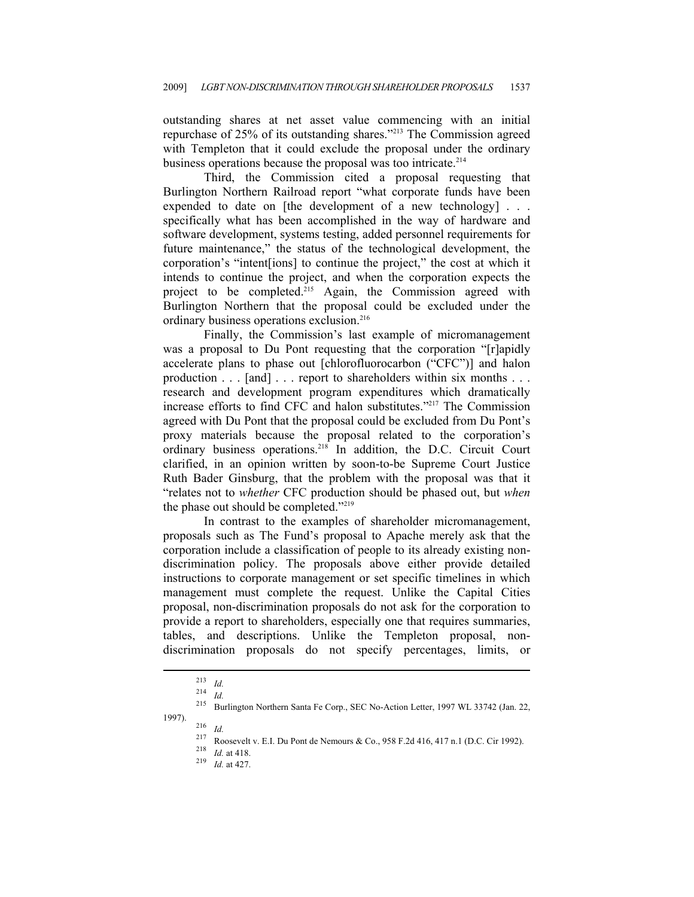outstanding shares at net asset value commencing with an initial repurchase of 25% of its outstanding shares."213 The Commission agreed with Templeton that it could exclude the proposal under the ordinary business operations because the proposal was too intricate.<sup>214</sup>

Third, the Commission cited a proposal requesting that Burlington Northern Railroad report "what corporate funds have been expended to date on [the development of a new technology] . . . specifically what has been accomplished in the way of hardware and software development, systems testing, added personnel requirements for future maintenance," the status of the technological development, the corporation's "intent[ions] to continue the project," the cost at which it intends to continue the project, and when the corporation expects the project to be completed.215 Again, the Commission agreed with Burlington Northern that the proposal could be excluded under the ordinary business operations exclusion.216

Finally, the Commission's last example of micromanagement was a proposal to Du Pont requesting that the corporation "[r]apidly accelerate plans to phase out [chlorofluorocarbon ("CFC")] and halon production . . . [and] . . . report to shareholders within six months . . . research and development program expenditures which dramatically increase efforts to find CFC and halon substitutes."217 The Commission agreed with Du Pont that the proposal could be excluded from Du Pont's proxy materials because the proposal related to the corporation's ordinary business operations.218 In addition, the D.C. Circuit Court clarified, in an opinion written by soon-to-be Supreme Court Justice Ruth Bader Ginsburg, that the problem with the proposal was that it "relates not to *whether* CFC production should be phased out, but *when* the phase out should be completed."219

In contrast to the examples of shareholder micromanagement, proposals such as The Fund's proposal to Apache merely ask that the corporation include a classification of people to its already existing nondiscrimination policy. The proposals above either provide detailed instructions to corporate management or set specific timelines in which management must complete the request. Unlike the Capital Cities proposal, non-discrimination proposals do not ask for the corporation to provide a report to shareholders, especially one that requires summaries, tables, and descriptions. Unlike the Templeton proposal, nondiscrimination proposals do not specify percentages, limits, or

<sup>213</sup> *Id.* 214 *Id.* 215 Burlington Northern Santa Fe Corp., SEC No-Action Letter, 1997 WL 33742 (Jan. 22, 1997). 216 *Id.* 217 Roosevelt v. E.I. Du Pont de Nemours & Co., 958 F.2d 416, 417 n.1 (D.C. Cir 1992). 218 *Id.* at 418. 219 *Id.* at 427.